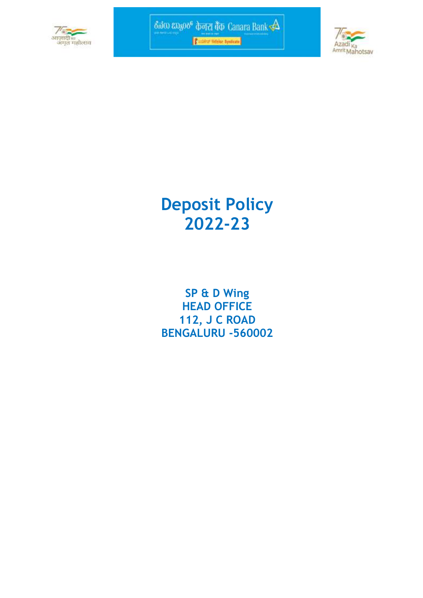



# **Deposit Policy 2022-23**

**SP & D Wing HEAD OFFICE 112, J C ROAD BENGALURU -560002**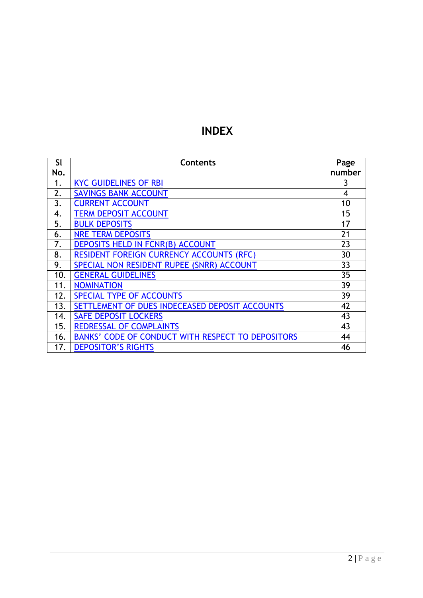# **INDEX**

| SI  | <b>Contents</b>                                   | Page           |
|-----|---------------------------------------------------|----------------|
| No. |                                                   | number         |
| 1.  | <b>KYC GUIDELINES OF RBI</b>                      | 3              |
| 2.  | <b>SAVINGS BANK ACCOUNT</b>                       | $\overline{4}$ |
| 3.  | <b>CURRENT ACCOUNT</b>                            | 10             |
| 4.  | <b>TERM DEPOSIT ACCOUNT</b>                       | 15             |
| 5.  | <b>BULK DEPOSITS</b>                              | 17             |
| 6.  | <b>NRE TERM DEPOSITS</b>                          | 21             |
| 7.  | <b>DEPOSITS HELD IN FCNR(B) ACCOUNT</b>           | 23             |
| 8.  | <b>RESIDENT FOREIGN CURRENCY ACCOUNTS (RFC)</b>   | 30             |
| 9.  | SPECIAL NON RESIDENT RUPEE (SNRR) ACCOUNT         | 33             |
| 10. | <b>GENERAL GUIDELINES</b>                         | 35             |
| 11. | <b>NOMINATION</b>                                 | 39             |
| 12. | SPECIAL TYPE OF ACCOUNTS                          | 39             |
| 13. | SETTLEMENT OF DUES INDECEASED DEPOSIT ACCOUNTS    | 42             |
| 14. | <b>SAFE DEPOSIT LOCKERS</b>                       | 43             |
| 15. | <b>REDRESSAL OF COMPLAINTS</b>                    | 43             |
| 16. | BANKS' CODE OF CONDUCT WITH RESPECT TO DEPOSITORS | 44             |
| 17. | <b>DEPOSITOR'S RIGHTS</b>                         | 46             |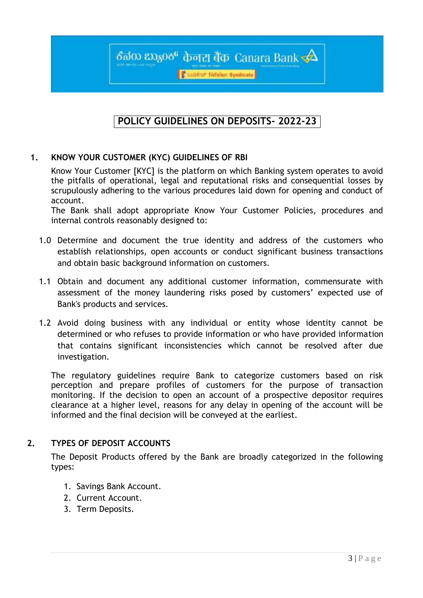**Active Finance Syndicate** 

ठैनंक ध्रम्हुल्छ केनरा बैंक Canara Bank $\prec\!\!\Delta$ 

# **POLICY GUIDELINES ON DEPOSITS- 2022-23**

# <span id="page-2-0"></span>**1. KNOW YOUR CUSTOMER (KYC) GUIDELINES OF RBI**

Know Your Customer [KYC] is the platform on which Banking system operates to avoid the pitfalls of operational, legal and reputational risks and consequential losses by scrupulously adhering to the various procedures laid down for opening and conduct of account.

The Bank shall adopt appropriate Know Your Customer Policies, procedures and internal controls reasonably designed to:

- 1.0 Determine and document the true identity and address of the customers who establish relationships, open accounts or conduct significant business transactions and obtain basic background information on customers.
- 1.1 Obtain and document any additional customer information, commensurate with assessment of the money laundering risks posed by customers' expected use of Bank's products and services.
- 1.2 Avoid doing business with any individual or entity whose identity cannot be determined or who refuses to provide information or who have provided information that contains significant inconsistencies which cannot be resolved after due investigation.

The regulatory guidelines require Bank to categorize customers based on risk perception and prepare profiles of customers for the purpose of transaction monitoring. If the decision to open an account of a prospective depositor requires clearance at a higher level, reasons for any delay in opening of the account will be informed and the final decision will be conveyed at the earliest.

# **2. TYPES OF DEPOSIT ACCOUNTS**

The Deposit Products offered by the Bank are broadly categorized in the following types:

- 1. Savings Bank Account.
- 2. Current Account.
- 3. Term Deposits.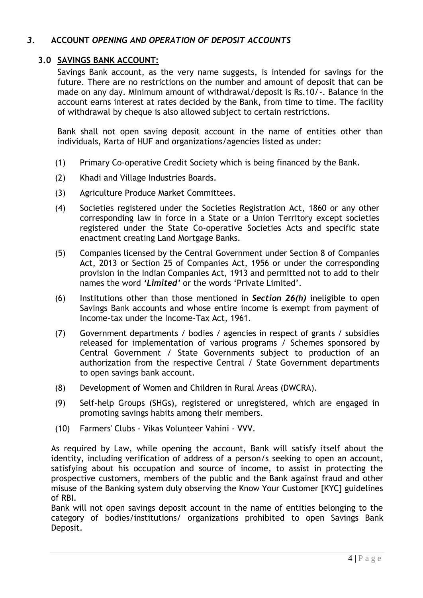# *3.* **ACCOUNT** *OPENING AND OPERATION OF DEPOSIT ACCOUNTS*

# <span id="page-3-0"></span>**3.0 SAVINGS BANK ACCOUNT:**

Savings Bank account, as the very name suggests, is intended for savings for the future. There are no restrictions on the number and amount of deposit that can be made on any day. Minimum amount of withdrawal/deposit is Rs.10/-. Balance in the account earns interest at rates decided by the Bank, from time to time. The facility of withdrawal by cheque is also allowed subject to certain restrictions.

Bank shall not open saving deposit account in the name of entities other than individuals, Karta of HUF and organizations/agencies listed as under:

- (1) Primary Co-operative Credit Society which is being financed by the Bank.
- (2) Khadi and Village Industries Boards.
- (3) Agriculture Produce Market Committees.
- (4) Societies registered under the Societies Registration Act, 1860 or any other corresponding law in force in a State or a Union Territory except societies registered under the State Co-operative Societies Acts and specific state enactment creating Land Mortgage Banks.
- (5) Companies licensed by the Central Government under Section 8 of Companies Act, 2013 or Section 25 of Companies Act, 1956 or under the corresponding provision in the Indian Companies Act, 1913 and permitted not to add to their names the word '*Limited'* or the words 'Private Limited'.
- (6) Institutions other than those mentioned in *Section 26(h)* ineligible to open Savings Bank accounts and whose entire income is exempt from payment of Income-tax under the Income-Tax Act, 1961.
- (7) Government departments / bodies / agencies in respect of grants / subsidies released for implementation of various programs / Schemes sponsored by Central Government / State Governments subject to production of an authorization from the respective Central / State Government departments to open savings bank account.
- (8) Development of Women and Children in Rural Areas (DWCRA).
- (9) Self-help Groups (SHGs), registered or unregistered, which are engaged in promoting savings habits among their members.
- (10) Farmers' Clubs Vikas Volunteer Vahini VVV.

As required by Law, while opening the account, Bank will satisfy itself about the identity, including verification of address of a person/s seeking to open an account, satisfying about his occupation and source of income, to assist in protecting the prospective customers, members of the public and the Bank against fraud and other misuse of the Banking system duly observing the Know Your Customer [KYC] guidelines of RBI.

Bank will not open savings deposit account in the name of entities belonging to the category of bodies/institutions/ organizations prohibited to open Savings Bank Deposit.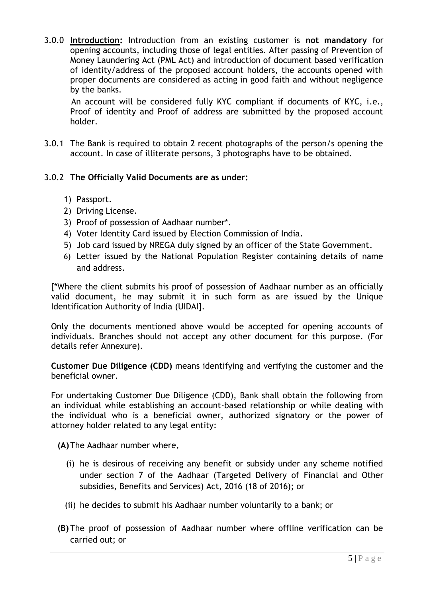3.0.0 **Introduction:** Introduction from an existing customer is **not mandatory** for opening accounts, including those of legal entities. After passing of Prevention of Money Laundering Act (PML Act) and introduction of document based verification of identity/address of the proposed account holders, the accounts opened with proper documents are considered as acting in good faith and without negligence by the banks.

An account will be considered fully KYC compliant if documents of KYC, i.e., Proof of identity and Proof of address are submitted by the proposed account holder.

3.0.1 The Bank is required to obtain 2 recent photographs of the person/s opening the account. In case of illiterate persons, 3 photographs have to be obtained.

# 3.0.2 **The Officially Valid Documents are as under:**

- 1) Passport.
- 2) Driving License.
- 3) Proof of possession of Aadhaar number\*.
- 4) Voter Identity Card issued by Election Commission of India.
- 5) Job card issued by NREGA duly signed by an officer of the State Government.
- 6) Letter issued by the National Population Register containing details of name and address.

[\*Where the client submits his proof of possession of Aadhaar number as an officially valid document, he may submit it in such form as are issued by the Unique Identification Authority of India (UIDAI].

Only the documents mentioned above would be accepted for opening accounts of individuals. Branches should not accept any other document for this purpose. (For details refer Annexure).

**Customer Due Diligence (CDD)** means identifying and verifying the customer and the beneficial owner.

For undertaking Customer Due Diligence (CDD), Bank shall obtain the following from an individual while establishing an account-based relationship or while dealing with the individual who is a beneficial owner, authorized signatory or the power of attorney holder related to any legal entity:

**(A)**The Aadhaar number where,

- (i) he is desirous of receiving any benefit or subsidy under any scheme notified under section 7 of the Aadhaar (Targeted Delivery of Financial and Other subsidies, Benefits and Services) Act, 2016 (18 of 2016); or
- (ii) he decides to submit his Aadhaar number voluntarily to a bank; or
- **(B)** The proof of possession of Aadhaar number where offline verification can be carried out; or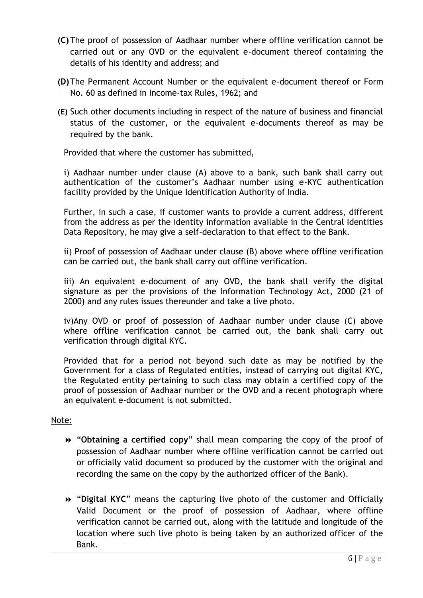- **(C)** The proof of possession of Aadhaar number where offline verification cannot be carried out or any OVD or the equivalent e-document thereof containing the details of his identity and address; and
- **(D)**The Permanent Account Number or the equivalent e-document thereof or Form No. 60 as defined in Income-tax Rules, 1962; and
- **(E)** Such other documents including in respect of the nature of business and financial status of the customer, or the equivalent e-documents thereof as may be required by the bank.

Provided that where the customer has submitted,

i) Aadhaar number under clause (A) above to a bank, such bank shall carry out authentication of the customer"s Aadhaar number using e-KYC authentication facility provided by the Unique Identification Authority of India.

Further, in such a case, if customer wants to provide a current address, different from the address as per the identity information available in the Central Identities Data Repository, he may give a self-declaration to that effect to the Bank.

ii) Proof of possession of Aadhaar under clause (B) above where offline verification can be carried out, the bank shall carry out offline verification.

iii) An equivalent e-document of any OVD, the bank shall verify the digital signature as per the provisions of the Information Technology Act, 2000 (21 of 2000) and any rules issues thereunder and take a live photo.

iv)Any OVD or proof of possession of Aadhaar number under clause (C) above where offline verification cannot be carried out, the bank shall carry out verification through digital KYC.

Provided that for a period not beyond such date as may be notified by the Government for a class of Regulated entities, instead of carrying out digital KYC, the Regulated entity pertaining to such class may obtain a certified copy of the proof of possession of Aadhaar number or the OVD and a recent photograph where an equivalent e-document is not submitted.

#### Note:

- "**Obtaining a certified copy**" shall mean comparing the copy of the proof of possession of Aadhaar number where offline verification cannot be carried out or officially valid document so produced by the customer with the original and recording the same on the copy by the authorized officer of the Bank).
- "**Digital KYC**" means the capturing live photo of the customer and Officially Valid Document or the proof of possession of Aadhaar, where offline verification cannot be carried out, along with the latitude and longitude of the location where such live photo is being taken by an authorized officer of the Bank.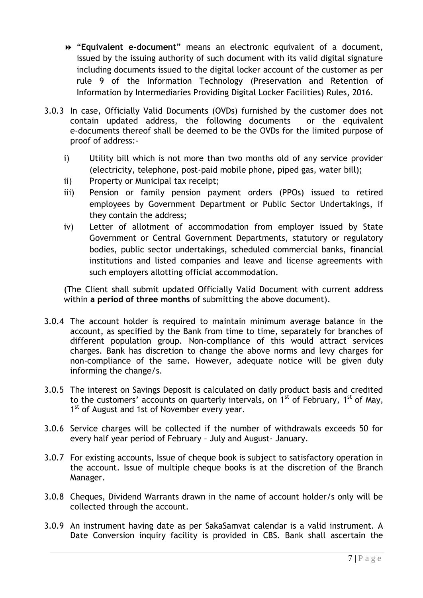- "**Equivalent e-document**" means an electronic equivalent of a document, issued by the issuing authority of such document with its valid digital signature including documents issued to the digital locker account of the customer as per rule 9 of the Information Technology (Preservation and Retention of Information by Intermediaries Providing Digital Locker Facilities) Rules, 2016.
- 3.0.3 In case, Officially Valid Documents (OVDs) furnished by the customer does not contain updated address, the following documents or the equivalent e-documents thereof shall be deemed to be the OVDs for the limited purpose of proof of address:
	- i) Utility bill which is not more than two months old of any service provider (electricity, telephone, post-paid mobile phone, piped gas, water bill);
	- ii) Property or Municipal tax receipt;
	- iii) Pension or family pension payment orders (PPOs) issued to retired employees by Government Department or Public Sector Undertakings, if they contain the address;
	- iv) Letter of allotment of accommodation from employer issued by State Government or Central Government Departments, statutory or regulatory bodies, public sector undertakings, scheduled commercial banks, financial institutions and listed companies and leave and license agreements with such employers allotting official accommodation.

(The Client shall submit updated Officially Valid Document with current address within **a period of three months** of submitting the above document).

- 3.0.4 The account holder is required to maintain minimum average balance in the account, as specified by the Bank from time to time, separately for branches of different population group. Non-compliance of this would attract services charges. Bank has discretion to change the above norms and levy charges for non-compliance of the same. However, adequate notice will be given duly informing the change/s.
- 3.0.5 The interest on Savings Deposit is calculated on daily product basis and credited to the customers' accounts on quarterly intervals, on  $1<sup>st</sup>$  of February,  $1<sup>st</sup>$  of May, 1<sup>st</sup> of August and 1st of November every year.
- 3.0.6 Service charges will be collected if the number of withdrawals exceeds 50 for every half year period of February – July and August- January.
- 3.0.7 For existing accounts, Issue of cheque book is subject to satisfactory operation in the account. Issue of multiple cheque books is at the discretion of the Branch Manager.
- 3.0.8 Cheques, Dividend Warrants drawn in the name of account holder/s only will be collected through the account.
- 3.0.9 An instrument having date as per SakaSamvat calendar is a valid instrument. A Date Conversion inquiry facility is provided in CBS. Bank shall ascertain the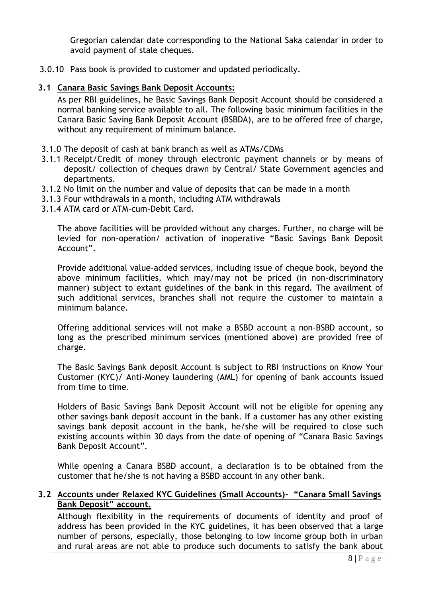Gregorian calendar date corresponding to the National Saka calendar in order to avoid payment of stale cheques.

3.0.10 Pass book is provided to customer and updated periodically.

#### **3.1 Canara Basic Savings Bank Deposit Accounts:**

As per RBI guidelines, he Basic Savings Bank Deposit Account should be considered a normal banking service available to all. The following basic minimum facilities in the Canara Basic Saving Bank Deposit Account (BSBDA), are to be offered free of charge, without any requirement of minimum balance.

- 3.1.0 The deposit of cash at bank branch as well as ATMs/CDMs
- 3.1.1 Receipt/Credit of money through electronic payment channels or by means of deposit/ collection of cheques drawn by Central/ State Government agencies and departments.
- 3.1.2 No limit on the number and value of deposits that can be made in a month
- 3.1.3 Four withdrawals in a month, including ATM withdrawals
- 3.1.4 ATM card or ATM-cum-Debit Card.

The above facilities will be provided without any charges. Further, no charge will be levied for non-operation/ activation of inoperative "Basic Savings Bank Deposit Account".

Provide additional value-added services, including issue of cheque book, beyond the above minimum facilities, which may/may not be priced (in non-discriminatory manner) subject to extant guidelines of the bank in this regard. The availment of such additional services, branches shall not require the customer to maintain a minimum balance.

Offering additional services will not make a BSBD account a non-BSBD account, so long as the prescribed minimum services (mentioned above) are provided free of charge.

The Basic Savings Bank deposit Account is subject to RBI instructions on Know Your Customer (KYC)/ Anti-Money laundering (AML) for opening of bank accounts issued from time to time.

Holders of Basic Savings Bank Deposit Account will not be eligible for opening any other savings bank deposit account in the bank. If a customer has any other existing savings bank deposit account in the bank, he/she will be required to close such existing accounts within 30 days from the date of opening of "Canara Basic Savings Bank Deposit Account".

While opening a Canara BSBD account, a declaration is to be obtained from the customer that he/she is not having a BSBD account in any other bank.

# **3.2 Accounts under Relaxed KYC Guidelines (Small Accounts)- "Canara Small Savings Bank Deposit" account.**

Although flexibility in the requirements of documents of identity and proof of address has been provided in the KYC guidelines, it has been observed that a large number of persons, especially, those belonging to low income group both in urban and rural areas are not able to produce such documents to satisfy the bank about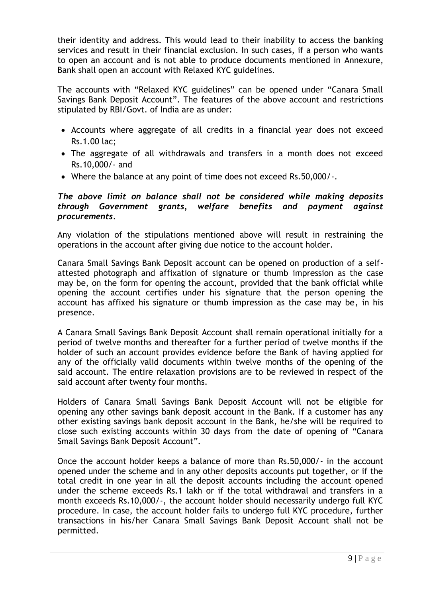their identity and address. This would lead to their inability to access the banking services and result in their financial exclusion. In such cases, if a person who wants to open an account and is not able to produce documents mentioned in [Annexure,](http://172.16.108.45/kmt/GetDocument.asp?PageRef=regulator/rbi/dbod/rbi1201-07-2008.htm#ann1) Bank shall open an account with Relaxed KYC guidelines.

The accounts with "Relaxed KYC guidelines" can be opened under "Canara Small Savings Bank Deposit Account". The features of the above account and restrictions stipulated by RBI/Govt. of India are as under:

- Accounts where aggregate of all credits in a financial year does not exceed Rs.1.00 lac;
- The aggregate of all withdrawals and transfers in a month does not exceed Rs.10,000/- and
- Where the balance at any point of time does not exceed Rs.50,000/-.

#### *The above limit on balance shall not be considered while making deposits through Government grants, welfare benefits and payment against procurements.*

Any violation of the stipulations mentioned above will result in restraining the operations in the account after giving due notice to the account holder.

Canara Small Savings Bank Deposit account can be opened on production of a selfattested photograph and affixation of signature or thumb impression as the case may be, on the form for opening the account, provided that the bank official while opening the account certifies under his signature that the person opening the account has affixed his signature or thumb impression as the case may be, in his presence.

A Canara Small Savings Bank Deposit Account shall remain operational initially for a period of twelve months and thereafter for a further period of twelve months if the holder of such an account provides evidence before the Bank of having applied for any of the officially valid documents within twelve months of the opening of the said account. The entire relaxation provisions are to be reviewed in respect of the said account after twenty four months.

Holders of Canara Small Savings Bank Deposit Account will not be eligible for opening any other savings bank deposit account in the Bank. If a customer has any other existing savings bank deposit account in the Bank, he/she will be required to close such existing accounts within 30 days from the date of opening of "Canara Small Savings Bank Deposit Account".

Once the account holder keeps a balance of more than Rs.50,000/- in the account opened under the scheme and in any other deposits accounts put together, or if the total credit in one year in all the deposit accounts including the account opened under the scheme exceeds Rs.1 lakh or if the total withdrawal and transfers in a month exceeds Rs.10,000/-, the account holder should necessarily undergo full KYC procedure. In case, the account holder fails to undergo full KYC procedure, further transactions in his/her Canara Small Savings Bank Deposit Account shall not be permitted.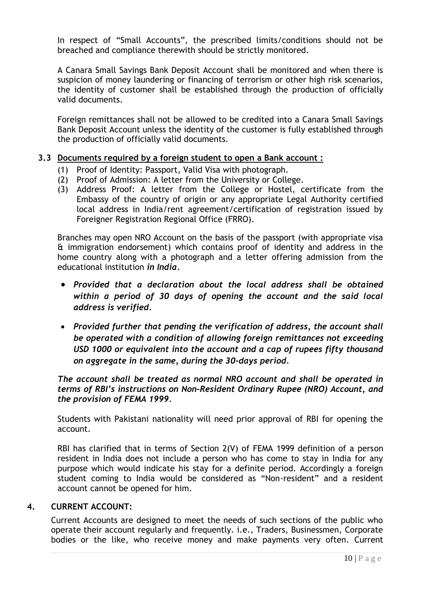In respect of "Small Accounts", the prescribed limits/conditions should not be breached and compliance therewith should be strictly monitored.

A Canara Small Savings Bank Deposit Account shall be monitored and when there is suspicion of money laundering or financing of terrorism or other high risk scenarios, the identity of customer shall be established through the production of officially valid documents.

Foreign remittances shall not be allowed to be credited into a Canara Small Savings Bank Deposit Account unless the identity of the customer is fully established through the production of officially valid documents.

#### **3.3 Documents required by a foreign student to open a Bank account :**

- (1) Proof of Identity: Passport, Valid Visa with photograph.
- (2) Proof of Admission: A letter from the University or College.
- (3) Address Proof: A letter from the College or Hostel, certificate from the Embassy of the country of origin or any appropriate Legal Authority certified local address in India/rent agreement/certification of registration issued by Foreigner Registration Regional Office (FRRO).

Branches may open NRO Account on the basis of the passport (with appropriate visa & immigration endorsement) which contains proof of identity and address in the home country along with a photograph and a letter offering admission from the educational institution *in India.*

- *Provided that a declaration about the local address shall be obtained within a period of 30 days of opening the account and the said local address is verified.*
- *Provided further that pending the verification of address, the account shall be operated with a condition of allowing foreign remittances not exceeding USD 1000 or equivalent into the account and a cap of rupees fifty thousand on aggregate in the same, during the 30-days period.*

*The account shall be treated as normal NRO account and shall be operated in terms of RBI"s instructions on Non-Resident Ordinary Rupee (NRO) Account, and the provision of FEMA 1999.*

Students with Pakistani nationality will need prior approval of RBI for opening the account.

RBI has clarified that in terms of Section 2(V) of FEMA 1999 definition of a person resident in India does not include a person who has come to stay in India for any purpose which would indicate his stay for a definite period. Accordingly a foreign student coming to India would be considered as "Non-resident" and a resident account cannot be opened for him.

#### **4. CURRENT ACCOUNT:**

<span id="page-9-0"></span>Current Accounts are designed to meet the needs of such sections of the public who operate their account regularly and frequently. i.e., Traders, Businessmen, Corporate bodies or the like, who receive money and make payments very often. Current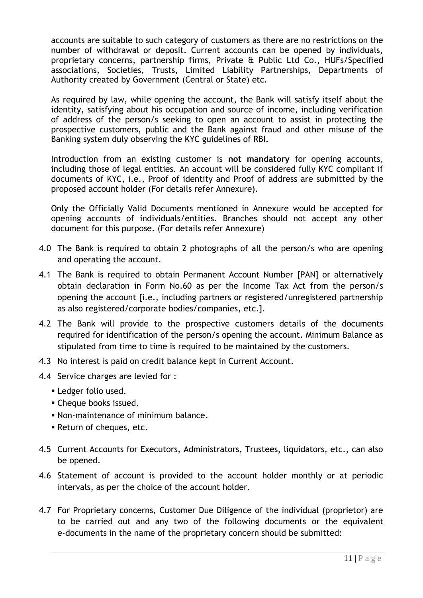accounts are suitable to such category of customers as there are no restrictions on the number of withdrawal or deposit. Current accounts can be opened by individuals, proprietary concerns, partnership firms, Private & Public Ltd Co., HUFs/Specified associations, Societies, Trusts, Limited Liability Partnerships, Departments of Authority created by Government (Central or State) etc.

As required by law, while opening the account, the Bank will satisfy itself about the identity, satisfying about his occupation and source of income, including verification of address of the person/s seeking to open an account to assist in protecting the prospective customers, public and the Bank against fraud and other misuse of the Banking system duly observing the KYC guidelines of RBI.

Introduction from an existing customer is **not mandatory** for opening accounts, including those of legal entities. An account will be considered fully KYC compliant if documents of KYC, i.e., Proof of identity and Proof of address are submitted by the proposed account holder (For details refer Annexure).

Only the Officially Valid Documents mentioned in Annexure would be accepted for opening accounts of individuals/entities. Branches should not accept any other document for this purpose. (For details refer Annexure)

- 4.0 The Bank is required to obtain 2 photographs of all the person/s who are opening and operating the account.
- 4.1 The Bank is required to obtain Permanent Account Number [PAN] or alternatively obtain declaration in Form No.60 as per the Income Tax Act from the person/s opening the account [i.e., including partners or registered/unregistered partnership as also registered/corporate bodies/companies, etc.].
- 4.2 The Bank will provide to the prospective customers details of the documents required for identification of the person/s opening the account. Minimum Balance as stipulated from time to time is required to be maintained by the customers.
- 4.3 No interest is paid on credit balance kept in Current Account.
- 4.4 Service charges are levied for :
	- **Ledger folio used.**
	- Cheque books issued.
	- Non-maintenance of minimum balance.
	- Return of cheques, etc.
- 4.5 Current Accounts for Executors, Administrators, Trustees, liquidators, etc., can also be opened.
- 4.6 Statement of account is provided to the account holder monthly or at periodic intervals, as per the choice of the account holder.
- 4.7 For Proprietary concerns, Customer Due Diligence of the individual (proprietor) are to be carried out and any two of the following documents or the equivalent e-documents in the name of the proprietary concern should be submitted: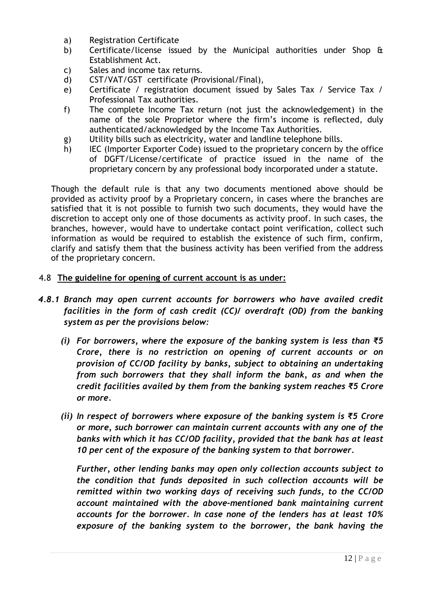- a) Registration Certificate
- b) Certificate/license issued by the Municipal authorities under Shop & Establishment Act.
- c) Sales and income tax returns.
- d) CST/VAT/GST certificate (Provisional/Final),
- e) Certificate / registration document issued by Sales Tax / Service Tax / Professional Tax authorities.
- f) The complete Income Tax return (not just the acknowledgement) in the name of the sole Proprietor where the firm"s income is reflected, duly authenticated/acknowledged by the Income Tax Authorities.
- g) Utility bills such as electricity, water and landline telephone bills.
- h) IEC (Importer Exporter Code) issued to the proprietary concern by the office of DGFT/License/certificate of practice issued in the name of the proprietary concern by any professional body incorporated under a statute.

Though the default rule is that any two documents mentioned above should be provided as activity proof by a Proprietary concern, in cases where the branches are satisfied that it is not possible to furnish two such documents, they would have the discretion to accept only one of those documents as activity proof. In such cases, the branches, however, would have to undertake contact point verification, collect such information as would be required to establish the existence of such firm, confirm, clarify and satisfy them that the business activity has been verified from the address of the proprietary concern.

#### 4.8 **The guideline for opening of current account is as under:**

- *4.8.1 Branch may open current accounts for borrowers who have availed credit facilities in the form of cash credit (CC)/ overdraft (OD) from the banking system as per the provisions below:*
	- *(i) For borrowers, where the exposure of the banking system is less than ₹5 Crore, there is no restriction on opening of current accounts or on provision of CC/OD facility by banks, subject to obtaining an undertaking from such borrowers that they shall inform the bank, as and when the credit facilities availed by them from the banking system reaches ₹5 Crore or more.*
	- *(ii) In respect of borrowers where exposure of the banking system is ₹5 Crore or more, such borrower can maintain current accounts with any one of the banks with which it has CC/OD facility, provided that the bank has at least 10 per cent of the exposure of the banking system to that borrower.*

*Further, other lending banks may open only collection accounts subject to the condition that funds deposited in such collection accounts will be remitted within two working days of receiving such funds, to the CC/OD account maintained with the above-mentioned bank maintaining current accounts for the borrower. In case none of the lenders has at least 10% exposure of the banking system to the borrower, the bank having the*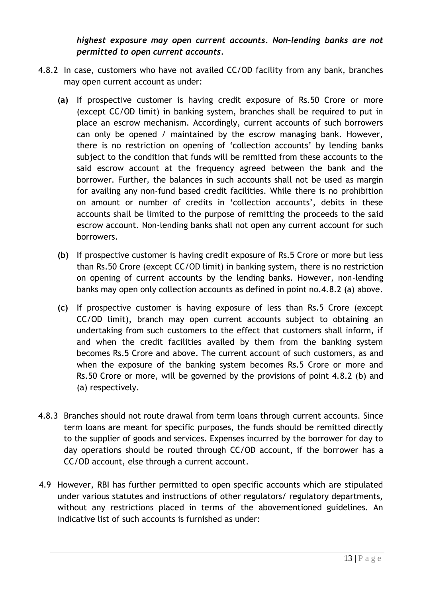*highest exposure may open current accounts. Non-lending banks are not permitted to open current accounts.*

- 4.8.2 In case, customers who have not availed CC/OD facility from any bank, branches may open current account as under:
	- **(a)** If prospective customer is having credit exposure of Rs.50 Crore or more (except CC/OD limit) in banking system, branches shall be required to put in place an escrow mechanism. Accordingly, current accounts of such borrowers can only be opened / maintained by the escrow managing bank. However, there is no restriction on opening of "collection accounts" by lending banks subject to the condition that funds will be remitted from these accounts to the said escrow account at the frequency agreed between the bank and the borrower. Further, the balances in such accounts shall not be used as margin for availing any non-fund based credit facilities. While there is no prohibition on amount or number of credits in 'collection accounts', debits in these accounts shall be limited to the purpose of remitting the proceeds to the said escrow account. Non-lending banks shall not open any current account for such borrowers.
	- **(b)** If prospective customer is having credit exposure of Rs.5 Crore or more but less than Rs.50 Crore (except CC/OD limit) in banking system, there is no restriction on opening of current accounts by the lending banks. However, non-lending banks may open only collection accounts as defined in point no.4.8.2 (a) above.
	- **(c)** If prospective customer is having exposure of less than Rs.5 Crore (except CC/OD limit), branch may open current accounts subject to obtaining an undertaking from such customers to the effect that customers shall inform, if and when the credit facilities availed by them from the banking system becomes Rs.5 Crore and above. The current account of such customers, as and when the exposure of the banking system becomes Rs.5 Crore or more and Rs.50 Crore or more, will be governed by the provisions of point 4.8.2 (b) and (a) respectively.
- 4.8.3 Branches should not route drawal from term loans through current accounts. Since term loans are meant for specific purposes, the funds should be remitted directly to the supplier of goods and services. Expenses incurred by the borrower for day to day operations should be routed through CC/OD account, if the borrower has a CC/OD account, else through a current account.
- 4.9 However, RBI has further permitted to open specific accounts which are stipulated under various statutes and instructions of other regulators/ regulatory departments, without any restrictions placed in terms of the abovementioned guidelines. An indicative list of such accounts is furnished as under: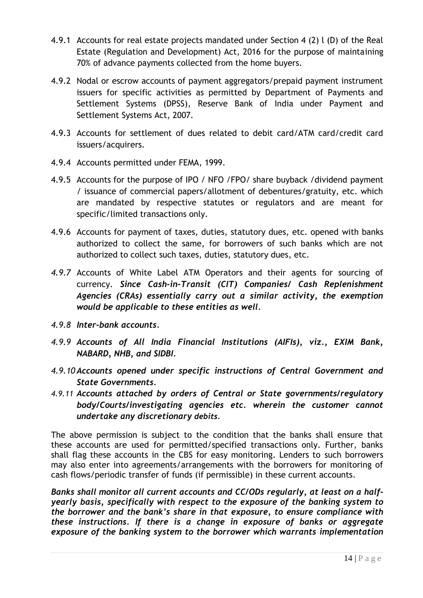- 4.9.1 Accounts for real estate projects mandated under Section 4 (2) l (D) of the Real Estate (Regulation and Development) Act, 2016 for the purpose of maintaining 70% of advance payments collected from the home buyers.
- 4.9.2 Nodal or escrow accounts of payment aggregators/prepaid payment instrument issuers for specific activities as permitted by Department of Payments and Settlement Systems (DPSS), Reserve Bank of India under Payment and Settlement Systems Act, 2007.
- 4.9.3 Accounts for settlement of dues related to debit card/ATM card/credit card issuers/acquirers.
- 4.9.4 Accounts permitted under FEMA, 1999.
- 4.9.5 Accounts for the purpose of IPO / NFO /FPO/ share buyback /dividend payment / issuance of commercial papers/allotment of debentures/gratuity, etc. which are mandated by respective statutes or regulators and are meant for specific/limited transactions only.
- 4.9.6 Accounts for payment of taxes, duties, statutory dues, etc. opened with banks authorized to collect the same, for borrowers of such banks which are not authorized to collect such taxes, duties, statutory dues, etc.
- *4.9.7* Accounts of White Label ATM Operators and their agents for sourcing of currency. *Since Cash-in-Transit (CIT) Companies/ Cash Replenishment Agencies (CRAs) essentially carry out a similar activity, the exemption would be applicable to these entities as well.*
- *4.9.8 Inter-bank accounts.*
- *4.9.9 Accounts of All India Financial Institutions (AIFIs), viz., EXIM Bank, NABARD, NHB, and SIDBI.*
- *4.9.10 Accounts opened under specific instructions of Central Government and State Governments.*
- *4.9.11 Accounts attached by orders of Central or State governments/regulatory body/Courts/investigating agencies etc. wherein the customer cannot undertake any discretionary debits.*

The above permission is subject to the condition that the banks shall ensure that these accounts are used for permitted/specified transactions only. Further, banks shall flag these accounts in the CBS for easy monitoring. Lenders to such borrowers may also enter into agreements/arrangements with the borrowers for monitoring of cash flows/periodic transfer of funds (if permissible) in these current accounts.

*Banks shall monitor all current accounts and CC/ODs regularly, at least on a halfyearly basis, specifically with respect to the exposure of the banking system to the borrower and the bank"s share in that exposure, to ensure compliance with these instructions. If there is a change in exposure of banks or aggregate exposure of the banking system to the borrower which warrants implementation*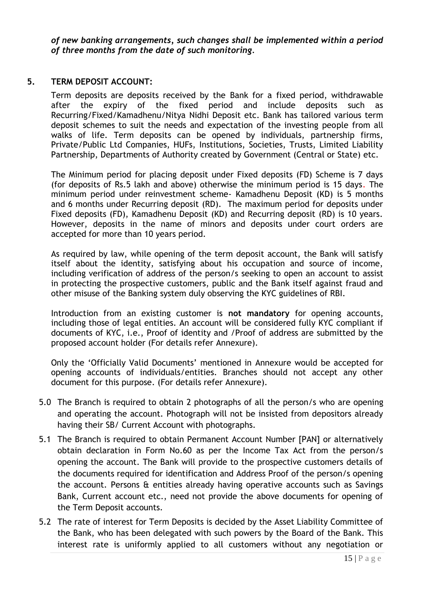*of new banking arrangements, such changes shall be implemented within a period of three months from the date of such monitoring.*

#### **5. TERM DEPOSIT ACCOUNT:**

<span id="page-14-0"></span>Term deposits are deposits received by the Bank for a fixed period, withdrawable after the expiry of the fixed period and include deposits such as Recurring/Fixed/Kamadhenu/Nitya Nidhi Deposit etc. Bank has tailored various term deposit schemes to suit the needs and expectation of the investing people from all walks of life. Term deposits can be opened by individuals, partnership firms, Private/Public Ltd Companies, HUFs, Institutions, Societies, Trusts, Limited Liability Partnership, Departments of Authority created by Government (Central or State) etc.

The Minimum period for placing deposit under Fixed deposits (FD) Scheme is 7 days (for deposits of Rs.5 lakh and above) otherwise the minimum period is 15 days. The minimum period under reinvestment scheme- Kamadhenu Deposit (KD) is 5 months and 6 months under Recurring deposit (RD). The maximum period for deposits under Fixed deposits (FD), Kamadhenu Deposit (KD) and Recurring deposit (RD) is 10 years. However, deposits in the name of minors and deposits under court orders are accepted for more than 10 years period.

As required by law, while opening of the term deposit account, the Bank will satisfy itself about the identity, satisfying about his occupation and source of income, including verification of address of the person/s seeking to open an account to assist in protecting the prospective customers, public and the Bank itself against fraud and other misuse of the Banking system duly observing the KYC guidelines of RBI.

Introduction from an existing customer is **not mandatory** for opening accounts, including those of legal entities. An account will be considered fully KYC compliant if documents of KYC, i.e., Proof of identity and /Proof of address are submitted by the proposed account holder (For details refer Annexure).

Only the "Officially Valid Documents" mentioned in Annexure would be accepted for opening accounts of individuals/entities. Branches should not accept any other document for this purpose. (For details refer Annexure).

- 5.0 The Branch is required to obtain 2 photographs of all the person/s who are opening and operating the account. Photograph will not be insisted from depositors already having their SB/ Current Account with photographs.
- 5.1 The Branch is required to obtain Permanent Account Number [PAN] or alternatively obtain declaration in Form No.60 as per the Income Tax Act from the person/s opening the account. The Bank will provide to the prospective customers details of the documents required for identification and Address Proof of the person/s opening the account. Persons & entities already having operative accounts such as Savings Bank, Current account etc., need not provide the above documents for opening of the Term Deposit accounts.
- 5.2 The rate of interest for Term Deposits is decided by the Asset Liability Committee of the Bank, who has been delegated with such powers by the Board of the Bank. This interest rate is uniformly applied to all customers without any negotiation or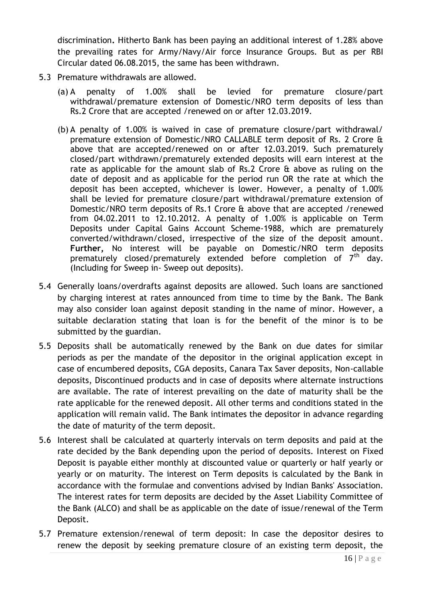discrimination**.** Hitherto Bank has been paying an additional interest of 1.28% above the prevailing rates for Army/Navy/Air force Insurance Groups. But as per RBI Circular dated 06.08.2015, the same has been withdrawn.

- 5.3 Premature withdrawals are allowed.
	- (a) A penalty of 1.00% shall be levied for premature closure/part withdrawal/premature extension of Domestic/NRO term deposits of less than Rs.2 Crore that are accepted /renewed on or after 12.03.2019.
	- (b) A penalty of 1.00% is waived in case of premature closure/part withdrawal/ premature extension of Domestic/NRO CALLABLE term deposit of Rs. 2 Crore & above that are accepted/renewed on or after 12.03.2019. Such prematurely closed/part withdrawn/prematurely extended deposits will earn interest at the rate as applicable for the amount slab of Rs.2 Crore & above as ruling on the date of deposit and as applicable for the period run OR the rate at which the deposit has been accepted, whichever is lower. However, a penalty of 1.00% shall be levied for premature closure/part withdrawal/premature extension of Domestic/NRO term deposits of Rs.1 Crore & above that are accepted /renewed from 04.02.2011 to 12.10.2012. A penalty of 1.00% is applicable on Term Deposits under Capital Gains Account Scheme-1988, which are prematurely converted/withdrawn/closed, irrespective of the size of the deposit amount. **Further,** No interest will be payable on Domestic/NRO term deposits prematurely closed/prematurely extended before completion of  $7<sup>th</sup>$  day. (Including for Sweep in- Sweep out deposits).
- 5.4 Generally loans/overdrafts against deposits are allowed. Such loans are sanctioned by charging interest at rates announced from time to time by the Bank. The Bank may also consider loan against deposit standing in the name of minor. However, a suitable declaration stating that loan is for the benefit of the minor is to be submitted by the guardian.
- 5.5 Deposits shall be automatically renewed by the Bank on due dates for similar periods as per the mandate of the depositor in the original application except in case of encumbered deposits, CGA deposits, Canara Tax Saver deposits, Non-callable deposits, Discontinued products and in case of deposits where alternate instructions are available. The rate of interest prevailing on the date of maturity shall be the rate applicable for the renewed deposit. All other terms and conditions stated in the application will remain valid. The Bank intimates the depositor in advance regarding the date of maturity of the term deposit.
- 5.6 Interest shall be calculated at quarterly intervals on term deposits and paid at the rate decided by the Bank depending upon the period of deposits. Interest on Fixed Deposit is payable either monthly at discounted value or quarterly or half yearly or yearly or on maturity. The interest on Term deposits is calculated by the Bank in accordance with the formulae and conventions advised by Indian Banks' Association. The interest rates for term deposits are decided by the Asset Liability Committee of the Bank (ALCO) and shall be as applicable on the date of issue/renewal of the Term Deposit.
- 5.7 Premature extension/renewal of term deposit: In case the depositor desires to renew the deposit by seeking premature closure of an existing term deposit, the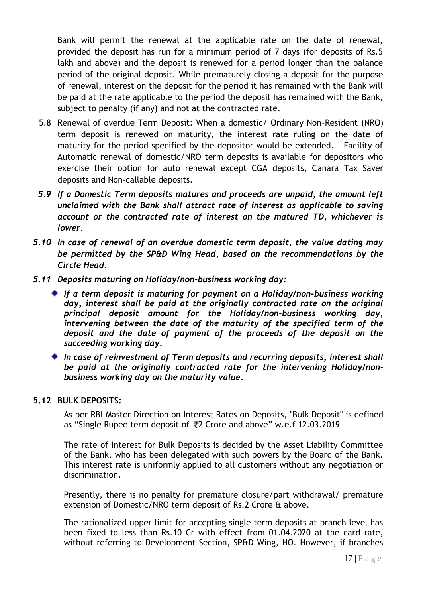Bank will permit the renewal at the applicable rate on the date of renewal, provided the deposit has run for a minimum period of 7 days (for deposits of Rs.5 lakh and above) and the deposit is renewed for a period longer than the balance period of the original deposit. While prematurely closing a deposit for the purpose of renewal, interest on the deposit for the period it has remained with the Bank will be paid at the rate applicable to the period the deposit has remained with the Bank, subject to penalty (if any) and not at the contracted rate.

- 5.8 Renewal of overdue Term Deposit: When a domestic/ Ordinary Non-Resident (NRO) term deposit is renewed on maturity, the interest rate ruling on the date of maturity for the period specified by the depositor would be extended. Facility of Automatic renewal of domestic/NRO term deposits is available for depositors who exercise their option for auto renewal except CGA deposits, Canara Tax Saver deposits and Non-callable deposits.
- *5.9 If a Domestic Term deposits matures and proceeds are unpaid, the amount left unclaimed with the Bank shall attract rate of interest as applicable to saving account or the contracted rate of interest on the matured TD, whichever is lower.*
- *5.10 In case of renewal of an overdue domestic term deposit, the value dating may be permitted by the SP&D Wing Head, based on the recommendations by the Circle Head.*
- *5.11 Deposits maturing on Holiday/non-business working day:*
	- *If a term deposit is maturing for payment on a Holiday/non-business working day, interest shall be paid at the originally contracted rate on the original principal deposit amount for the Holiday/non-business working day, intervening between the date of the maturity of the specified term of the deposit and the date of payment of the proceeds of the deposit on the succeeding working day.*
	- *In case of reinvestment of Term deposits and recurring deposits, interest shall be paid at the originally contracted rate for the intervening Holiday/nonbusiness working day on the maturity value.*

#### <span id="page-16-0"></span>**5.12 BULK DEPOSITS:**

As per RBI Master Direction on Interest Rates on Deposits, "Bulk Deposit" is defined as "Single Rupee term deposit of ₹2 Crore and above" w.e.f 12.03.2019

The rate of interest for Bulk Deposits is decided by the Asset Liability Committee of the Bank, who has been delegated with such powers by the Board of the Bank. This interest rate is uniformly applied to all customers without any negotiation or discrimination.

Presently, there is no penalty for premature closure/part withdrawal/ premature extension of Domestic/NRO term deposit of Rs.2 Crore & above.

The rationalized upper limit for accepting single term deposits at branch level has been fixed to less than Rs.10 Cr with effect from 01.04.2020 at the card rate, without referring to Development Section, SP&D Wing, HO. However, if branches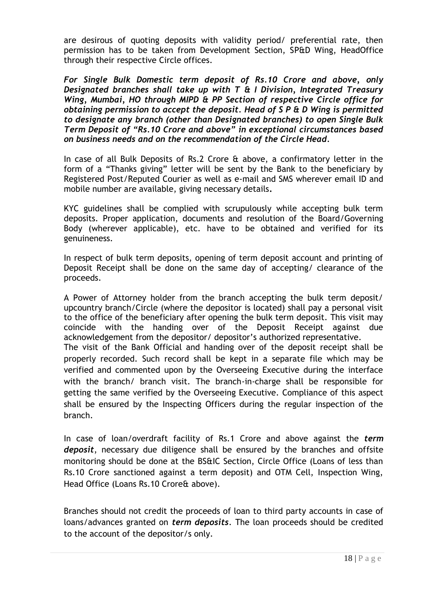are desirous of quoting deposits with validity period/ preferential rate, then permission has to be taken from Development Section, SP&D Wing, HeadOffice through their respective Circle offices.

*For Single Bulk Domestic term deposit of Rs.10 Crore and above, only Designated branches shall take up with T & I Division, Integrated Treasury Wing, Mumbai, HO through MIPD & PP Section of respective Circle office for obtaining permission to accept the deposit. Head of S P & D Wing is permitted to designate any branch (other than Designated branches) to open Single Bulk Term Deposit of "Rs.10 Crore and above" in exceptional circumstances based on business needs and on the recommendation of the Circle Head.*

In case of all Bulk Deposits of Rs.2 Crore & above, a confirmatory letter in the form of a "Thanks giving" letter will be sent by the Bank to the beneficiary by Registered Post/Reputed Courier as well as e-mail and SMS wherever email ID and mobile number are available, giving necessary details**.**

KYC guidelines shall be complied with scrupulously while accepting bulk term deposits. Proper application, documents and resolution of the Board/Governing Body (wherever applicable), etc. have to be obtained and verified for its genuineness.

In respect of bulk term deposits, opening of term deposit account and printing of Deposit Receipt shall be done on the same day of accepting/ clearance of the proceeds.

A Power of Attorney holder from the branch accepting the bulk term deposit/ upcountry branch/Circle (where the depositor is located) shall pay a personal visit to the office of the beneficiary after opening the bulk term deposit. This visit may coincide with the handing over of the Deposit Receipt against due acknowledgement from the depositor/ depositor's authorized representative. The visit of the Bank Official and handing over of the deposit receipt shall be properly recorded. Such record shall be kept in a separate file which may be verified and commented upon by the Overseeing Executive during the interface with the branch/ branch visit. The branch-in-charge shall be responsible for getting the same verified by the Overseeing Executive. Compliance of this aspect shall be ensured by the Inspecting Officers during the regular inspection of the branch.

In case of loan/overdraft facility of Rs.1 Crore and above against the *term deposit*, necessary due diligence shall be ensured by the branches and offsite monitoring should be done at the BS&IC Section, Circle Office (Loans of less than Rs.10 Crore sanctioned against a term deposit) and OTM Cell, Inspection Wing, Head Office (Loans Rs.10 Crore& above).

Branches should not credit the proceeds of loan to third party accounts in case of loans/advances granted on *term deposits*. The loan proceeds should be credited to the account of the depositor/s only.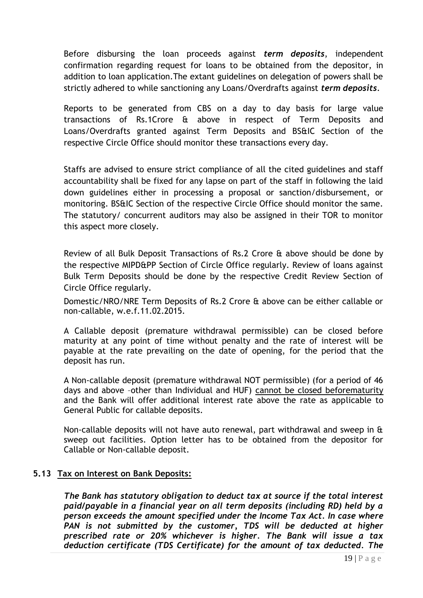Before disbursing the loan proceeds against *term deposits*, independent confirmation regarding request for loans to be obtained from the depositor, in addition to loan application.The extant guidelines on delegation of powers shall be strictly adhered to while sanctioning any Loans/Overdrafts against *term deposits*.

Reports to be generated from CBS on a day to day basis for large value transactions of Rs.1Crore & above in respect of Term Deposits and Loans/Overdrafts granted against Term Deposits and BS&IC Section of the respective Circle Office should monitor these transactions every day.

Staffs are advised to ensure strict compliance of all the cited guidelines and staff accountability shall be fixed for any lapse on part of the staff in following the laid down guidelines either in processing a proposal or sanction/disbursement, or monitoring. BS&IC Section of the respective Circle Office should monitor the same. The statutory/ concurrent auditors may also be assigned in their TOR to monitor this aspect more closely.

Review of all Bulk Deposit Transactions of Rs.2 Crore & above should be done by the respective MIPD&PP Section of Circle Office regularly. Review of loans against Bulk Term Deposits should be done by the respective Credit Review Section of Circle Office regularly.

Domestic/NRO/NRE Term Deposits of Rs.2 Crore & above can be either callable or non-callable, w.e.f.11.02.2015.

A Callable deposit (premature withdrawal permissible) can be closed before maturity at any point of time without penalty and the rate of interest will be payable at the rate prevailing on the date of opening, for the period that the deposit has run.

A Non-callable deposit (premature withdrawal NOT permissible) (for a period of 46 davs and above -other than Individual and HUF) cannot be closed beforematurity and the Bank will offer additional interest rate above the rate as applicable to General Public for callable deposits.

Non-callable deposits will not have auto renewal, part withdrawal and sweep in & sweep out facilities. Option letter has to be obtained from the depositor for Callable or Non-callable deposit.

#### **5.13 Tax on Interest on Bank Deposits:**

*The Bank has statutory obligation to deduct tax at source if the total interest paid/payable in a financial year on all term deposits (including RD) held by a person exceeds the amount specified under the Income Tax Act. In case where*  PAN is not submitted by the customer, TDS will be deducted at higher *prescribed rate or 20% whichever is higher. The Bank will issue a tax deduction certificate (TDS Certificate) for the amount of tax deducted. The*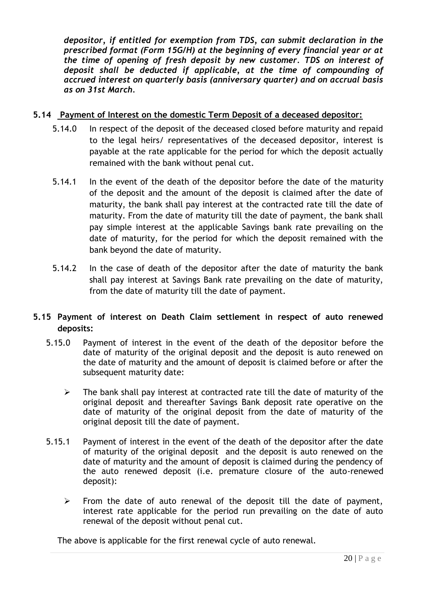*depositor, if entitled for exemption from TDS, can submit declaration in the prescribed format (Form 15G/H) at the beginning of every financial year or at the time of opening of fresh deposit by new customer. TDS on interest of deposit shall be deducted if applicable, at the time of compounding of accrued interest on quarterly basis (anniversary quarter) and on accrual basis as on 31st March.*

# **5.14 Payment of Interest on the domestic Term Deposit of a deceased depositor:**

- 5.14.0 In respect of the deposit of the deceased closed before maturity and repaid to the legal heirs/ representatives of the deceased depositor, interest is payable at the rate applicable for the period for which the deposit actually remained with the bank without penal cut.
- 5.14.1 In the event of the death of the depositor before the date of the maturity of the deposit and the amount of the deposit is claimed after the date of maturity, the bank shall pay interest at the contracted rate till the date of maturity. From the date of maturity till the date of payment, the bank shall pay simple interest at the applicable Savings bank rate prevailing on the date of maturity, for the period for which the deposit remained with the bank beyond the date of maturity.
- 5.14.2 In the case of death of the depositor after the date of maturity the bank shall pay interest at Savings Bank rate prevailing on the date of maturity, from the date of maturity till the date of payment.

# **5.15 Payment of interest on Death Claim settlement in respect of auto renewed deposits:**

- 5.15.0 Payment of interest in the event of the death of the depositor before the date of maturity of the original deposit and the deposit is auto renewed on the date of maturity and the amount of deposit is claimed before or after the subsequent maturity date:
	- $\triangleright$  The bank shall pay interest at contracted rate till the date of maturity of the original deposit and thereafter Savings Bank deposit rate operative on the date of maturity of the original deposit from the date of maturity of the original deposit till the date of payment.
- 5.15.1 Payment of interest in the event of the death of the depositor after the date of maturity of the original deposit and the deposit is auto renewed on the date of maturity and the amount of deposit is claimed during the pendency of the auto renewed deposit (i.e. premature closure of the auto-renewed deposit):
	- $\triangleright$  From the date of auto renewal of the deposit till the date of payment, interest rate applicable for the period run prevailing on the date of auto renewal of the deposit without penal cut.

The above is applicable for the first renewal cycle of auto renewal.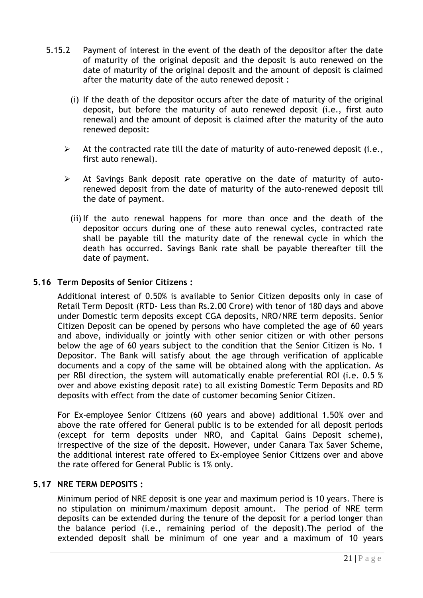- 5.15.2 Payment of interest in the event of the death of the depositor after the date of maturity of the original deposit and the deposit is auto renewed on the date of maturity of the original deposit and the amount of deposit is claimed after the maturity date of the auto renewed deposit :
	- (i) If the death of the depositor occurs after the date of maturity of the original deposit, but before the maturity of auto renewed deposit (i.e., first auto renewal) and the amount of deposit is claimed after the maturity of the auto renewed deposit:
	- $\triangleright$  At the contracted rate till the date of maturity of auto-renewed deposit (i.e., first auto renewal).
	- $\triangleright$  At Savings Bank deposit rate operative on the date of maturity of autorenewed deposit from the date of maturity of the auto-renewed deposit till the date of payment.
		- (ii) If the auto renewal happens for more than once and the death of the depositor occurs during one of these auto renewal cycles, contracted rate shall be payable till the maturity date of the renewal cycle in which the death has occurred. Savings Bank rate shall be payable thereafter till the date of payment.

#### **5.16 Term Deposits of Senior Citizens :**

Additional interest of 0.50% is available to Senior Citizen deposits only in case of Retail Term Deposit (RTD- Less than Rs.2.00 Crore) with tenor of 180 days and above under Domestic term deposits except CGA deposits, NRO/NRE term deposits. Senior Citizen Deposit can be opened by persons who have completed the age of 60 years and above, individually or jointly with other senior citizen or with other persons below the age of 60 years subject to the condition that the Senior Citizen is No. 1 Depositor. The Bank will satisfy about the age through verification of applicable documents and a copy of the same will be obtained along with the application. As per RBI direction, the system will automatically enable preferential ROI (i.e. 0.5 % over and above existing deposit rate) to all existing Domestic Term Deposits and RD deposits with effect from the date of customer becoming Senior Citizen.

For Ex-employee Senior Citizens (60 years and above) additional 1.50% over and above the rate offered for General public is to be extended for all deposit periods (except for term deposits under NRO, and Capital Gains Deposit scheme), irrespective of the size of the deposit. However, under Canara Tax Saver Scheme, the additional interest rate offered to Ex-employee Senior Citizens over and above the rate offered for General Public is 1% only.

#### <span id="page-20-0"></span>**5.17 NRE TERM DEPOSITS :**

Minimum period of NRE deposit is one year and maximum period is 10 years. There is no stipulation on minimum/maximum deposit amount. The period of NRE term deposits can be extended during the tenure of the deposit for a period longer than the balance period (i.e., remaining period of the deposit).The period of the extended deposit shall be minimum of one year and a maximum of 10 years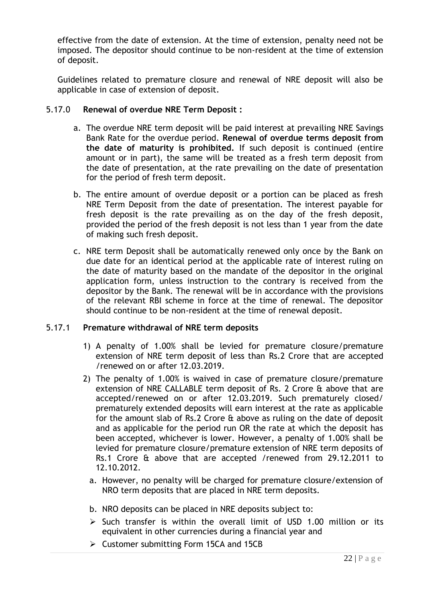effective from the date of extension. At the time of extension, penalty need not be imposed. The depositor should continue to be non-resident at the time of extension of deposit.

Guidelines related to premature closure and renewal of NRE deposit will also be applicable in case of extension of deposit.

#### 5.17.0 **Renewal of overdue NRE Term Deposit :**

- a. The overdue NRE term deposit will be paid interest at prevailing NRE Savings Bank Rate for the overdue period. **Renewal of overdue terms deposit from the date of maturity is prohibited.** If such deposit is continued (entire amount or in part), the same will be treated as a fresh term deposit from the date of presentation, at the rate prevailing on the date of presentation for the period of fresh term deposit.
- b. The entire amount of overdue deposit or a portion can be placed as fresh NRE Term Deposit from the date of presentation. The interest payable for fresh deposit is the rate prevailing as on the day of the fresh deposit, provided the period of the fresh deposit is not less than 1 year from the date of making such fresh deposit.
- c. NRE term Deposit shall be automatically renewed only once by the Bank on due date for an identical period at the applicable rate of interest ruling on the date of maturity based on the mandate of the depositor in the original application form, unless instruction to the contrary is received from the depositor by the Bank. The renewal will be in accordance with the provisions of the relevant RBI scheme in force at the time of renewal. The depositor should continue to be non-resident at the time of renewal deposit.

#### 5.17.1 **Premature withdrawal of NRE term deposits**

- 1) A penalty of 1.00% shall be levied for premature closure/premature extension of NRE term deposit of less than Rs.2 Crore that are accepted /renewed on or after 12.03.2019.
- 2) The penalty of 1.00% is waived in case of premature closure/premature extension of NRE CALLABLE term deposit of Rs. 2 Crore & above that are accepted/renewed on or after 12.03.2019. Such prematurely closed/ prematurely extended deposits will earn interest at the rate as applicable for the amount slab of Rs.2 Crore & above as ruling on the date of deposit and as applicable for the period run OR the rate at which the deposit has been accepted, whichever is lower. However, a penalty of 1.00% shall be levied for premature closure/premature extension of NRE term deposits of Rs.1 Crore & above that are accepted /renewed from 29.12.2011 to 12.10.2012.
	- a. However, no penalty will be charged for premature closure/extension of NRO term deposits that are placed in NRE term deposits.
	- b. NRO deposits can be placed in NRE deposits subject to:
	- $\triangleright$  Such transfer is within the overall limit of USD 1.00 million or its equivalent in other currencies during a financial year and
	- Customer submitting Form 15CA and 15CB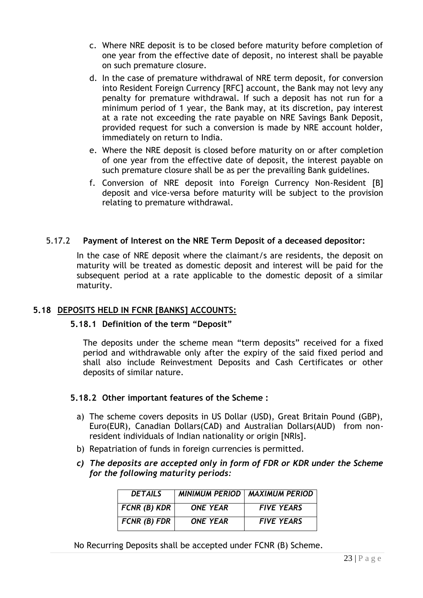- c. Where NRE deposit is to be closed before maturity before completion of one year from the effective date of deposit, no interest shall be payable on such premature closure.
- d. In the case of premature withdrawal of NRE term deposit, for conversion into Resident Foreign Currency [RFC] account, the Bank may not levy any penalty for premature withdrawal. If such a deposit has not run for a minimum period of 1 year, the Bank may, at its discretion, pay interest at a rate not exceeding the rate payable on NRE Savings Bank Deposit, provided request for such a conversion is made by NRE account holder, immediately on return to India.
- e. Where the NRE deposit is closed before maturity on or after completion of one year from the effective date of deposit, the interest payable on such premature closure shall be as per the prevailing Bank guidelines.
- f. Conversion of NRE deposit into Foreign Currency Non-Resident [B] deposit and vice-versa before maturity will be subject to the provision relating to premature withdrawal.

#### 5.17.2 **Payment of Interest on the NRE Term Deposit of a deceased depositor:**

In the case of NRE deposit where the claimant/s are residents, the deposit on maturity will be treated as domestic deposit and interest will be paid for the subsequent period at a rate applicable to the domestic deposit of a similar maturity.

#### <span id="page-22-0"></span>**5.18 DEPOSITS HELD IN FCNR [BANKS] ACCOUNTS:**

# **5.18.1 Definition of the term "Deposit"**

The deposits under the scheme mean "term deposits" received for a fixed period and withdrawable only after the expiry of the said fixed period and shall also include Reinvestment Deposits and Cash Certificates or other deposits of similar nature.

#### **5.18.2 Other important features of the Scheme :**

- a) The scheme covers deposits in US Dollar (USD), Great Britain Pound (GBP), Euro(EUR), Canadian Dollars(CAD) and Australian Dollars(AUD) from nonresident individuals of Indian nationality or origin [NRIs].
- b) Repatriation of funds in foreign currencies is permitted.
- *c) The deposits are accepted only in form of FDR or KDR under the Scheme for the following maturity periods:*

| <b>DETAILS</b> |                 | <b>MINIMUM PERIOD   MAXIMUM PERIOD</b> |
|----------------|-----------------|----------------------------------------|
| FCNR (B) KDR   | <b>ONE YEAR</b> | <b>FIVE YEARS</b>                      |
| FCNR (B) FDR   | <b>ONE YEAR</b> | <b>FIVE YEARS</b>                      |

No Recurring Deposits shall be accepted under FCNR (B) Scheme.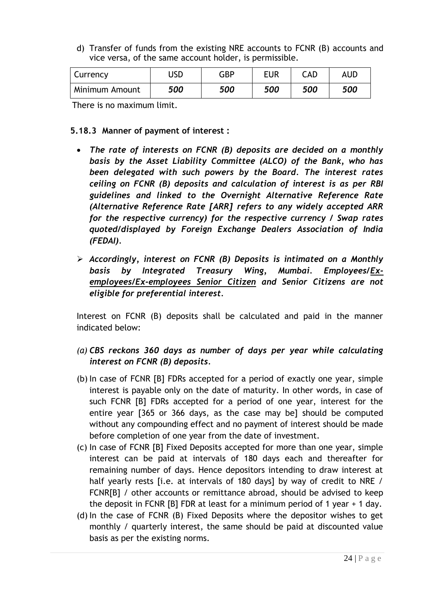d) Transfer of funds from the existing NRE accounts to FCNR (B) accounts and vice versa, of the same account holder, is permissible.

| Currency       | JSD | GBP | <b>EUR</b> | CAD | AUD |
|----------------|-----|-----|------------|-----|-----|
| Minimum Amount | 500 | 500 | 500        | 500 | 500 |

There is no maximum limit.

#### **5.18.3 Manner of payment of interest :**

- *The rate of interests on FCNR (B) deposits are decided on a monthly basis by the Asset Liability Committee (ALCO) of the Bank, who has been delegated with such powers by the Board. The interest rates ceiling on FCNR (B) deposits and calculation of interest is as per RBI guidelines and linked to the Overnight Alternative Reference Rate (Alternative Reference Rate [ARR] refers to any widely accepted ARR for the respective currency) for the respective currency / Swap rates quoted/displayed by Foreign Exchange Dealers Association of India (FEDAI).*
- *Accordingly, interest on FCNR (B) Deposits is intimated on a Monthly basis by Integrated Treasury Wing, Mumbai. Employees/Exemployees/Ex-employees Senior Citizen and Senior Citizens are not eligible for preferential interest.*

Interest on FCNR (B) deposits shall be calculated and paid in the manner indicated below:

- *(a) CBS reckons 360 days as number of days per year while calculating interest on FCNR (B) deposits.*
- (b) In case of FCNR [B] FDRs accepted for a period of exactly one year, simple interest is payable only on the date of maturity. In other words, in case of such FCNR [B] FDRs accepted for a period of one year, interest for the entire year [365 or 366 days, as the case may be] should be computed without any compounding effect and no payment of interest should be made before completion of one year from the date of investment.
- (c) In case of FCNR [B] Fixed Deposits accepted for more than one year, simple interest can be paid at intervals of 180 days each and thereafter for remaining number of days. Hence depositors intending to draw interest at half yearly rests [i.e. at intervals of 180 days] by way of credit to NRE / FCNR[B] / other accounts or remittance abroad, should be advised to keep the deposit in FCNR [B] FDR at least for a minimum period of 1 year + 1 day.
- (d) In the case of FCNR (B) Fixed Deposits where the depositor wishes to get monthly / quarterly interest, the same should be paid at discounted value basis as per the existing norms.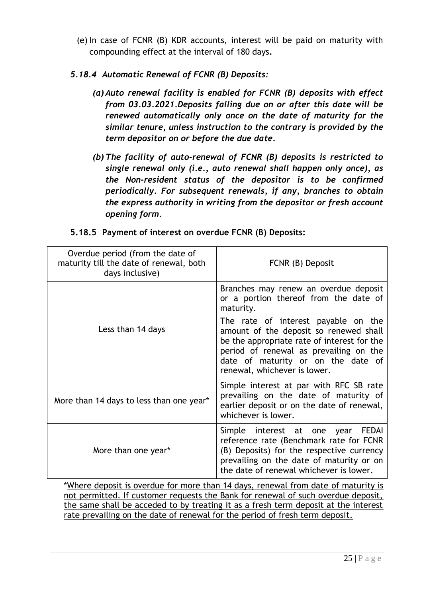(e) In case of FCNR (B) KDR accounts, interest will be paid on maturity with compounding effect at the interval of 180 days**.** 

# *5.18.4 Automatic Renewal of FCNR (B) Deposits:*

- *(a) Auto renewal facility is enabled for FCNR (B) deposits with effect from 03.03.2021.Deposits falling due on or after this date will be renewed automatically only once on the date of maturity for the similar tenure, unless instruction to the contrary is provided by the term depositor on or before the due date.*
- *(b) The facility of auto-renewal of FCNR (B) deposits is restricted to single renewal only (i.e., auto renewal shall happen only once), as the Non-resident status of the depositor is to be confirmed periodically. For subsequent renewals, if any, branches to obtain the express authority in writing from the depositor or fresh account opening form.*

| Overdue period (from the date of<br>maturity till the date of renewal, both<br>days inclusive) | FCNR (B) Deposit                                                                                                                                                                                                                             |
|------------------------------------------------------------------------------------------------|----------------------------------------------------------------------------------------------------------------------------------------------------------------------------------------------------------------------------------------------|
|                                                                                                | Branches may renew an overdue deposit<br>or a portion thereof from the date of<br>maturity.                                                                                                                                                  |
| Less than 14 days                                                                              | The rate of interest payable on the<br>amount of the deposit so renewed shall<br>be the appropriate rate of interest for the<br>period of renewal as prevailing on the<br>date of maturity or on the date of<br>renewal, whichever is lower. |
| More than 14 days to less than one year*                                                       | Simple interest at par with RFC SB rate<br>prevailing on the date of maturity of<br>earlier deposit or on the date of renewal,<br>whichever is lower.                                                                                        |
| More than one year*                                                                            | Simple interest at one year FEDAI<br>reference rate (Benchmark rate for FCNR<br>(B) Deposits) for the respective currency<br>prevailing on the date of maturity or on<br>the date of renewal whichever is lower.                             |

# **5.18.5 Payment of interest on overdue FCNR (B) Deposits:**

\*Where deposit is overdue for more than 14 days, renewal from date of maturity is not permitted. If customer requests the Bank for renewal of such overdue deposit, the same shall be acceded to by treating it as a fresh term deposit at the interest rate prevailing on the date of renewal for the period of fresh term deposit.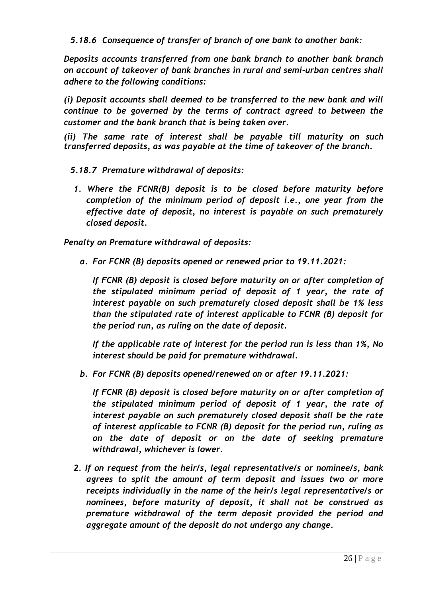*5.18.6 Consequence of transfer of branch of one bank to another bank:*

*Deposits accounts transferred from one bank branch to another bank branch on account of takeover of bank branches in rural and semi-urban centres shall adhere to the following conditions:*

*(i) Deposit accounts shall deemed to be transferred to the new bank and will continue to be governed by the terms of contract agreed to between the customer and the bank branch that is being taken over.*

*(ii) The same rate of interest shall be payable till maturity on such transferred deposits, as was payable at the time of takeover of the branch.*

- *5.18.7 Premature withdrawal of deposits:*
- *1. Where the FCNR(B) deposit is to be closed before maturity before completion of the minimum period of deposit i.e., one year from the effective date of deposit, no interest is payable on such prematurely closed deposit.*

*Penalty on Premature withdrawal of deposits:*

*a. For FCNR (B) deposits opened or renewed prior to 19.11.2021:*

*If FCNR (B) deposit is closed before maturity on or after completion of the stipulated minimum period of deposit of 1 year, the rate of interest payable on such prematurely closed deposit shall be 1% less than the stipulated rate of interest applicable to FCNR (B) deposit for the period run, as ruling on the date of deposit.*

*If the applicable rate of interest for the period run is less than 1%, No interest should be paid for premature withdrawal.* 

*b. For FCNR (B) deposits opened/renewed on or after 19.11.2021:*

*If FCNR (B) deposit is closed before maturity on or after completion of the stipulated minimum period of deposit of 1 year, the rate of interest payable on such prematurely closed deposit shall be the rate of interest applicable to FCNR (B) deposit for the period run, ruling as on the date of deposit or on the date of seeking premature withdrawal, whichever is lower.*

*2. If on request from the heir/s, legal representative/s or nominee/s, bank agrees to split the amount of term deposit and issues two or more receipts individually in the name of the heir/s legal representative/s or nominees, before maturity of deposit, it shall not be construed as premature withdrawal of the term deposit provided the period and aggregate amount of the deposit do not undergo any change.*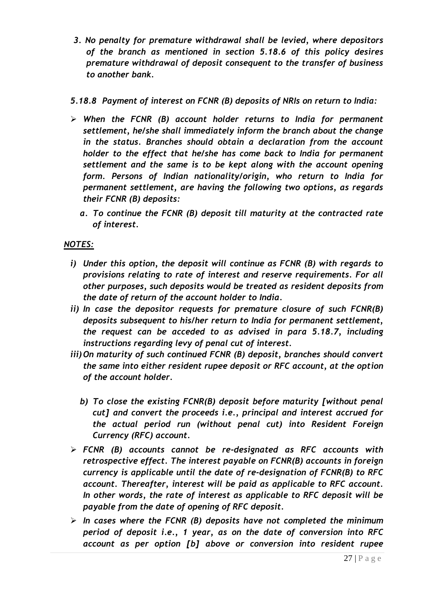- *3. No penalty for premature withdrawal shall be levied, where depositors of the branch as mentioned in section 5.18.6 of this policy desires premature withdrawal of deposit consequent to the transfer of business to another bank.*
- *5.18.8 Payment of interest on FCNR (B) deposits of NRIs on return to India:*
- *When the FCNR (B) account holder returns to India for permanent settlement, he/she shall immediately inform the branch about the change in the status. Branches should obtain a declaration from the account holder to the effect that he/she has come back to India for permanent settlement and the same is to be kept along with the account opening form. Persons of Indian nationality/origin, who return to India for permanent settlement, are having the following two options, as regards their FCNR (B) deposits:*
	- *a. To continue the FCNR (B) deposit till maturity at the contracted rate of interest.*

# *NOTES:*

- *i) Under this option, the deposit will continue as FCNR (B) with regards to provisions relating to rate of interest and reserve requirements. For all other purposes, such deposits would be treated as resident deposits from the date of return of the account holder to India.*
- *ii) In case the depositor requests for premature closure of such FCNR(B) deposits subsequent to his/her return to India for permanent settlement, the request can be acceded to as advised in para 5.18.7, including instructions regarding levy of penal cut of interest.*
- *iii) On maturity of such continued FCNR (B) deposit, branches should convert the same into either resident rupee deposit or RFC account, at the option of the account holder.*
	- *b) To close the existing FCNR(B) deposit before maturity [without penal cut] and convert the proceeds i.e., principal and interest accrued for the actual period run (without penal cut) into Resident Foreign Currency (RFC) account.*
- *FCNR (B) accounts cannot be re-designated as RFC accounts with retrospective effect. The interest payable on FCNR(B) accounts in foreign currency is applicable until the date of re-designation of FCNR(B) to RFC account. Thereafter, interest will be paid as applicable to RFC account. In other words, the rate of interest as applicable to RFC deposit will be payable from the date of opening of RFC deposit.*
- *In cases where the FCNR (B) deposits have not completed the minimum period of deposit i.e., 1 year, as on the date of conversion into RFC account as per option [b] above or conversion into resident rupee*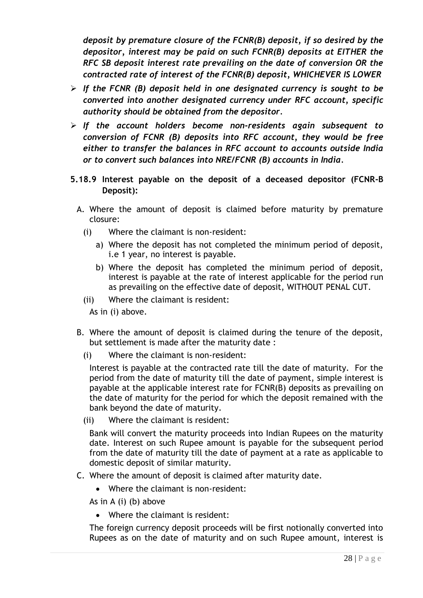*deposit by premature closure of the FCNR(B) deposit, if so desired by the depositor, interest may be paid on such FCNR(B) deposits at EITHER the RFC SB deposit interest rate prevailing on the date of conversion OR the contracted rate of interest of the FCNR(B) deposit, WHICHEVER IS LOWER* 

- *If the FCNR (B) deposit held in one designated currency is sought to be converted into another designated currency under RFC account, specific authority should be obtained from the depositor.*
- *If the account holders become non-residents again subsequent to conversion of FCNR (B) deposits into RFC account, they would be free either to transfer the balances in RFC account to accounts outside India or to convert such balances into NRE/FCNR (B) accounts in India.*
- **5.18.9 Interest payable on the deposit of a deceased depositor (FCNR-B Deposit):**
	- A. Where the amount of deposit is claimed before maturity by premature closure:
		- (i) Where the claimant is non-resident:
			- a) Where the deposit has not completed the minimum period of deposit, i.e 1 year, no interest is payable.
			- b) Where the deposit has completed the minimum period of deposit, interest is payable at the rate of interest applicable for the period run as prevailing on the effective date of deposit, WITHOUT PENAL CUT.
		- (ii) Where the claimant is resident:

As in (i) above.

- B. Where the amount of deposit is claimed during the tenure of the deposit, but settlement is made after the maturity date :
	- (i) Where the claimant is non-resident:

Interest is payable at the contracted rate till the date of maturity. For the period from the date of maturity till the date of payment, simple interest is payable at the applicable interest rate for FCNR(B) deposits as prevailing on the date of maturity for the period for which the deposit remained with the bank beyond the date of maturity.

(ii) Where the claimant is resident:

Bank will convert the maturity proceeds into Indian Rupees on the maturity date. Interest on such Rupee amount is payable for the subsequent period from the date of maturity till the date of payment at a rate as applicable to domestic deposit of similar maturity.

- C. Where the amount of deposit is claimed after maturity date.
	- Where the claimant is non-resident:

As in A (i) (b) above

Where the claimant is resident:

The foreign currency deposit proceeds will be first notionally converted into Rupees as on the date of maturity and on such Rupee amount, interest is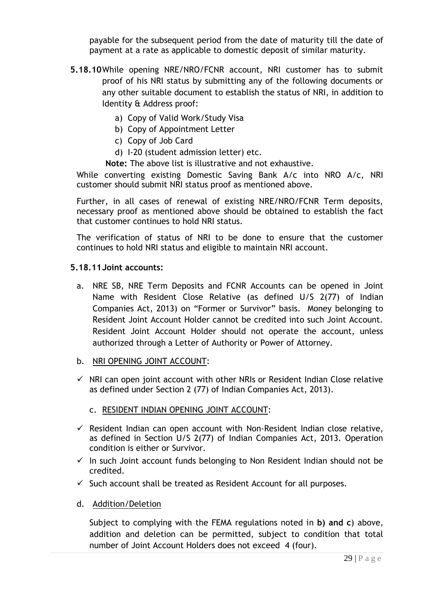payable for the subsequent period from the date of maturity till the date of payment at a rate as applicable to domestic deposit of similar maturity.

- **5.18.10**While opening NRE/NRO/FCNR account, NRI customer has to submit proof of his NRI status by submitting any of the following documents or any other suitable document to establish the status of NRI, in addition to Identity & Address proof:
	- a) Copy of Valid Work/Study Visa
	- b) Copy of Appointment Letter
	- c) Copy of Job Card
	- d) I-20 (student admission letter) etc.
	- **Note:** The above list is illustrative and not exhaustive.

While converting existing Domestic Saving Bank A/c into NRO A/c, NRI customer should submit NRI status proof as mentioned above.

Further, in all cases of renewal of existing NRE/NRO/FCNR Term deposits, necessary proof as mentioned above should be obtained to establish the fact that customer continues to hold NRI status.

The verification of status of NRI to be done to ensure that the customer continues to hold NRI status and eligible to maintain NRI account.

#### **5.18.11Joint accounts:**

- a. NRE SB, NRE Term Deposits and FCNR Accounts can be opened in Joint Name with Resident Close Relative (as defined U/S 2(77) of Indian Companies Act, 2013) on "Former or Survivor" basis. Money belonging to Resident Joint Account Holder cannot be credited into such Joint Account. Resident Joint Account Holder should not operate the account, unless authorized through a Letter of Authority or Power of Attorney.
- b. NRI OPENING JOINT ACCOUNT:
- $\checkmark$  NRI can open joint account with other NRIs or Resident Indian Close relative as defined under Section 2 (77) of Indian Companies Act, 2013).
	- c. RESIDENT INDIAN OPENING JOINT ACCOUNT:
- $\checkmark$  Resident Indian can open account with Non-Resident Indian close relative, as defined in Section U/S 2(77) of Indian Companies Act, 2013. Operation condition is either or Survivor.
- $\checkmark$  In such Joint account funds belonging to Non Resident Indian should not be credited.
- $\checkmark$  Such account shall be treated as Resident Account for all purposes.
- d. Addition/Deletion

Subject to complying with the FEMA regulations noted in **b) and c**) above, addition and deletion can be permitted, subject to condition that total number of Joint Account Holders does not exceed 4 (four).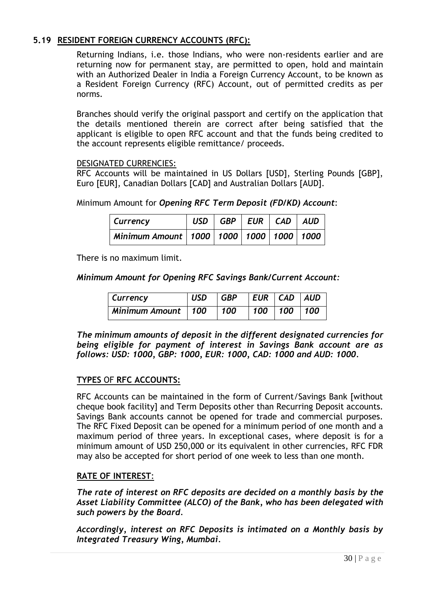# <span id="page-29-0"></span>**5.19 RESIDENT FOREIGN CURRENCY ACCOUNTS (RFC):**

Returning Indians, i.e. those Indians, who were non-residents earlier and are returning now for permanent stay, are permitted to open, hold and maintain with an Authorized Dealer in India a Foreign Currency Account, to be known as a Resident Foreign Currency (RFC) Account, out of permitted credits as per norms.

Branches should verify the original passport and certify on the application that the details mentioned therein are correct after being satisfied that the applicant is eligible to open RFC account and that the funds being credited to the account represents eligible remittance/ proceeds.

#### DESIGNATED CURRENCIES:

RFC Accounts will be maintained in US Dollars [USD], Sterling Pounds [GBP], Euro [EUR], Canadian Dollars [CAD] and Australian Dollars [AUD].

Minimum Amount for *Opening RFC Term Deposit (FD/KD) Account*:

| Currency                                          | USD   GBP   EUR   CAD   AUD |  |  |
|---------------------------------------------------|-----------------------------|--|--|
| Minimum Amount   1000   1000   1000   1000   1000 |                             |  |  |

There is no maximum limit.

*Minimum Amount for Opening RFC Savings Bank/Current Account:*

| <b>Currency</b>    | <b>USD</b> | $\overline{GBP}$ | $ EUR $ $CAD$ $ AUD$   |  |
|--------------------|------------|------------------|------------------------|--|
| Minimum Amount 100 |            | 100              | $100$ 100 $\sqrt{100}$ |  |

*The minimum amounts of deposit in the different designated currencies for being eligible for payment of interest in Savings Bank account are as follows: USD: 1000, GBP: 1000, EUR: 1000, CAD: 1000 and AUD: 1000.*

# **TYPES** OF **RFC ACCOUNTS:**

RFC Accounts can be maintained in the form of Current/Savings Bank [without cheque book facility] and Term Deposits other than Recurring Deposit accounts. Savings Bank accounts cannot be opened for trade and commercial purposes. The RFC Fixed Deposit can be opened for a minimum period of one month and a maximum period of three years. In exceptional cases, where deposit is for a minimum amount of USD 250,000 or its equivalent in other currencies, RFC FDR may also be accepted for short period of one week to less than one month.

# **RATE OF INTEREST**:

*The rate of interest on RFC deposits are decided on a monthly basis by the Asset Liability Committee (ALCO) of the Bank, who has been delegated with such powers by the Board.*

*Accordingly, interest on RFC Deposits is intimated on a Monthly basis by Integrated Treasury Wing, Mumbai.*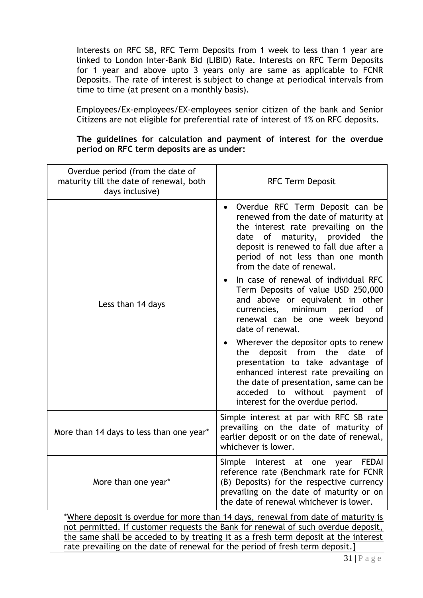Interests on RFC SB, RFC Term Deposits from 1 week to less than 1 year are linked to London Inter-Bank Bid (LIBID) Rate. Interests on RFC Term Deposits for 1 year and above upto 3 years only are same as applicable to FCNR Deposits. The rate of interest is subject to change at periodical intervals from time to time (at present on a monthly basis).

Employees/Ex-employees/EX-employees senior citizen of the bank and Senior Citizens are not eligible for preferential rate of interest of 1% on RFC deposits.

**The guidelines for calculation and payment of interest for the overdue period on RFC term deposits are as under:**

| Overdue period (from the date of<br>maturity till the date of renewal, both<br>days inclusive) | <b>RFC Term Deposit</b>                                                                                                                                                                                                                                                                                    |  |  |
|------------------------------------------------------------------------------------------------|------------------------------------------------------------------------------------------------------------------------------------------------------------------------------------------------------------------------------------------------------------------------------------------------------------|--|--|
|                                                                                                | Overdue RFC Term Deposit can be<br>renewed from the date of maturity at<br>the interest rate prevailing on the<br>of maturity, provided<br>date<br>the<br>deposit is renewed to fall due after a<br>period of not less than one month<br>from the date of renewal.<br>In case of renewal of individual RFC |  |  |
| Less than 14 days                                                                              | Term Deposits of value USD 250,000<br>and above or equivalent in other<br>minimum<br>currencies,<br>period<br>οf<br>renewal can be one week beyond<br>date of renewal.                                                                                                                                     |  |  |
|                                                                                                | Wherever the depositor opts to renew<br>deposit from the<br>date<br>the<br>οf<br>presentation to take advantage of<br>enhanced interest rate prevailing on<br>the date of presentation, same can be<br>acceded to without payment<br>0f<br>interest for the overdue period.                                |  |  |
| More than 14 days to less than one year*                                                       | Simple interest at par with RFC SB rate<br>prevailing on the date of maturity of<br>earlier deposit or on the date of renewal,<br>whichever is lower.                                                                                                                                                      |  |  |
| More than one year*                                                                            | Simple<br>interest at one<br><b>FEDAI</b><br>year<br>reference rate (Benchmark rate for FCNR<br>(B) Deposits) for the respective currency<br>prevailing on the date of maturity or on<br>the date of renewal whichever is lower.                                                                           |  |  |
| *Where deposit is overdue for more than 14 days, renewal from date of maturity is              |                                                                                                                                                                                                                                                                                                            |  |  |

not permitted. If customer requests the Bank for renewal of such overdue deposit, the same shall be acceded to by treating it as a fresh term deposit at the interest rate prevailing on the date of renewal for the period of fresh term deposit.]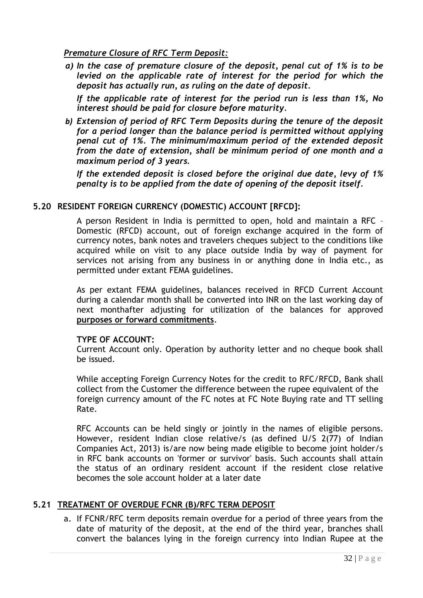# *Premature Closure of RFC Term Deposit:*

*a) In the case of premature closure of the deposit, penal cut of 1% is to be levied on the applicable rate of interest for the period for which the deposit has actually run, as ruling on the date of deposit.* 

*If the applicable rate of interest for the period run is less than 1%, No interest should be paid for closure before maturity.* 

*b) Extension of period of RFC Term Deposits during the tenure of the deposit for a period longer than the balance period is permitted without applying penal cut of 1%. The minimum/maximum period of the extended deposit from the date of extension, shall be minimum period of one month and a maximum period of 3 years.*

*If the extended deposit is closed before the original due date, levy of 1% penalty is to be applied from the date of opening of the deposit itself.*

# **5.20 RESIDENT FOREIGN CURRENCY (DOMESTIC) ACCOUNT [RFCD]:**

A person Resident in India is permitted to open, hold and maintain a RFC – Domestic (RFCD) account, out of foreign exchange acquired in the form of currency notes, bank notes and travelers cheques subject to the conditions like acquired while on visit to any place outside India by way of payment for services not arising from any business in or anything done in India etc., as permitted under extant FEMA guidelines.

As per extant FEMA guidelines, balances received in RFCD Current Account during a calendar month shall be converted into INR on the last working day of next monthafter adjusting for utilization of the balances for approved **purposes or forward commitments**.

#### **TYPE OF ACCOUNT:**

Current Account only. Operation by authority letter and no cheque book shall be issued.

While accepting Foreign Currency Notes for the credit to RFC/RFCD, Bank shall collect from the Customer the difference between the rupee equivalent of the foreign currency amount of the FC notes at FC Note Buying rate and TT selling Rate.

RFC Accounts can be held singly or jointly in the names of eligible persons. However, resident Indian close relative/s (as defined U/S 2(77) of Indian Companies Act, 2013) is/are now being made eligible to become joint holder/s in RFC bank accounts on 'former or survivor' basis. Such accounts shall attain the status of an ordinary resident account if the resident close relative becomes the sole account holder at a later date

# **5.21 TREATMENT OF OVERDUE FCNR (B)/RFC TERM DEPOSIT**

a. If FCNR/RFC term deposits remain overdue for a period of three years from the date of maturity of the deposit, at the end of the third year, branches shall convert the balances lying in the foreign currency into Indian Rupee at the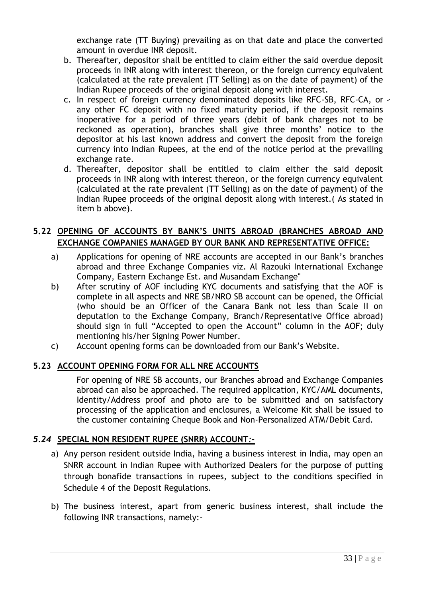exchange rate (TT Buying) prevailing as on that date and place the converted amount in overdue INR deposit.

- b. Thereafter, depositor shall be entitled to claim either the said overdue deposit proceeds in INR along with interest thereon, or the foreign currency equivalent (calculated at the rate prevalent (TT Selling) as on the date of payment) of the Indian Rupee proceeds of the original deposit along with interest.
- c. In respect of foreign currency denominated deposits like RFC-SB, RFC-CA, or any other FC deposit with no fixed maturity period, if the deposit remains inoperative for a period of three years (debit of bank charges not to be reckoned as operation), branches shall give three months' notice to the depositor at his last known address and convert the deposit from the foreign currency into Indian Rupees, at the end of the notice period at the prevailing exchange rate.
- d. Thereafter, depositor shall be entitled to claim either the said deposit proceeds in INR along with interest thereon, or the foreign currency equivalent (calculated at the rate prevalent (TT Selling) as on the date of payment) of the Indian Rupee proceeds of the original deposit along with interest.( As stated in item b above).

# **5.22 OPENING OF ACCOUNTS BY BANK'S UNITS ABROAD (BRANCHES ABROAD AND EXCHANGE COMPANIES MANAGED BY OUR BANK AND REPRESENTATIVE OFFICE:**

- a) Applications for opening of NRE accounts are accepted in our Bank"s branches abroad and three Exchange Companies viz. Al Razouki International Exchange Company, Eastern Exchange Est. and Musandam Exchange"
- b) After scrutiny of AOF including KYC documents and satisfying that the AOF is complete in all aspects and NRE SB/NRO SB account can be opened, the Official (who should be an Officer of the Canara Bank not less than Scale II on deputation to the Exchange Company, Branch/Representative Office abroad) should sign in full "Accepted to open the Account" column in the AOF; duly mentioning his/her Signing Power Number.
- c) Account opening forms can be downloaded from our Bank"s Website.

# **5.23 ACCOUNT OPENING FORM FOR ALL NRE ACCOUNTS**

For opening of NRE SB accounts, our Branches abroad and Exchange Companies abroad can also be approached. The required application, KYC/AML documents, Identity/Address proof and photo are to be submitted and on satisfactory processing of the application and enclosures, a Welcome Kit shall be issued to the customer containing Cheque Book and Non-Personalized ATM/Debit Card.

# *5.24* **SPECIAL NON RESIDENT RUPEE (SNRR) ACCOUNT***:-*

- <span id="page-32-0"></span>a) Any person resident outside India, having a business interest in India, may open an SNRR account in Indian Rupee with Authorized Dealers for the purpose of putting through bonafide transactions in rupees, subject to the conditions specified in Schedule 4 of the Deposit Regulations.
- b) The business interest, apart from generic business interest, shall include the following INR transactions, namely:-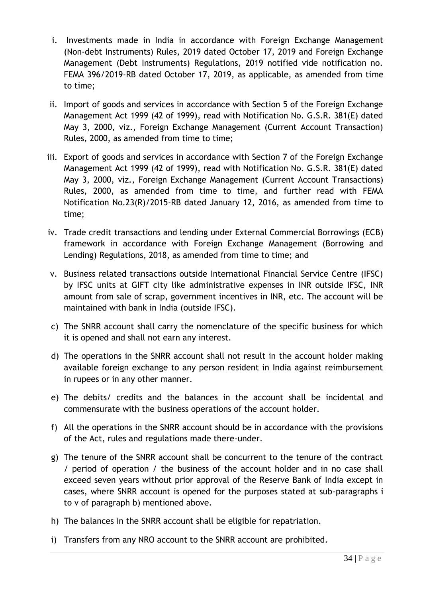- i. Investments made in India in accordance with Foreign Exchange Management (Non-debt Instruments) Rules, 2019 dated October 17, 2019 and Foreign Exchange Management (Debt Instruments) Regulations, 2019 notified vide notification no. FEMA 396/2019-RB dated October 17, 2019, as applicable, as amended from time to time;
- ii. Import of goods and services in accordance with Section 5 of the Foreign Exchange Management Act 1999 (42 of 1999), read with Notification No. G.S.R. 381(E) dated May 3, 2000, viz., Foreign Exchange Management (Current Account Transaction) Rules, 2000, as amended from time to time;
- iii. Export of goods and services in accordance with Section 7 of the Foreign Exchange Management Act 1999 (42 of 1999), read with Notification No. G.S.R. 381(E) dated May 3, 2000, viz., Foreign Exchange Management (Current Account Transactions) Rules, 2000, as amended from time to time, and further read with FEMA Notification No.23(R)/2015-RB dated January 12, 2016, as amended from time to time;
- iv. Trade credit transactions and lending under External Commercial Borrowings (ECB) framework in accordance with Foreign Exchange Management (Borrowing and Lending) Regulations, 2018, as amended from time to time; and
- v. Business related transactions outside International Financial Service Centre (IFSC) by IFSC units at GIFT city like administrative expenses in INR outside IFSC, INR amount from sale of scrap, government incentives in INR, etc. The account will be maintained with bank in India (outside IFSC).
- c) The SNRR account shall carry the nomenclature of the specific business for which it is opened and shall not earn any interest.
- d) The operations in the SNRR account shall not result in the account holder making available foreign exchange to any person resident in India against reimbursement in rupees or in any other manner.
- e) The debits/ credits and the balances in the account shall be incidental and commensurate with the business operations of the account holder.
- f) All the operations in the SNRR account should be in accordance with the provisions of the Act, rules and regulations made there-under.
- g) The tenure of the SNRR account shall be concurrent to the tenure of the contract / period of operation / the business of the account holder and in no case shall exceed seven years without prior approval of the Reserve Bank of India except in cases, where SNRR account is opened for the purposes stated at sub-paragraphs i to v of paragraph b) mentioned above.
- h) The balances in the SNRR account shall be eligible for repatriation.
- i) Transfers from any NRO account to the SNRR account are prohibited.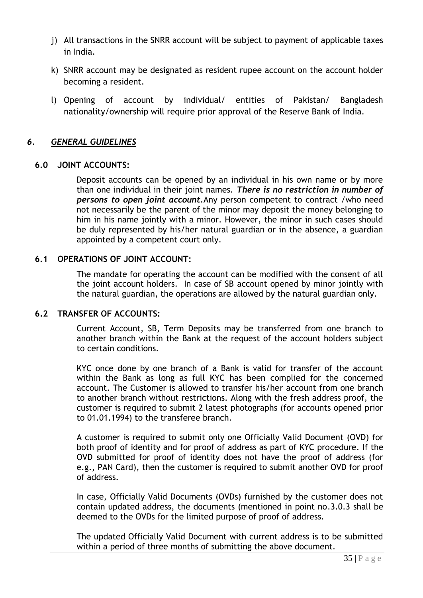- j) All transactions in the SNRR account will be subject to payment of applicable taxes in India.
- k) SNRR account may be designated as resident rupee account on the account holder becoming a resident.
- l) Opening of account by individual/ entities of Pakistan/ Bangladesh nationality/ownership will require prior approval of the Reserve Bank of India.

# <span id="page-34-0"></span>*6. GENERAL GUIDELINES*

#### **6.0 JOINT ACCOUNTS:**

Deposit accounts can be opened by an individual in his own name or by more than one individual in their joint names. *There is no restriction in number of persons to open joint account.*Any person competent to contract /who need not necessarily be the parent of the minor may deposit the money belonging to him in his name jointly with a minor. However, the minor in such cases should be duly represented by his/her natural guardian or in the absence, a guardian appointed by a competent court only.

#### **6.1 OPERATIONS OF JOINT ACCOUNT:**

The mandate for operating the account can be modified with the consent of all the joint account holders. In case of SB account opened by minor jointly with the natural guardian, the operations are allowed by the natural guardian only.

#### **6.2 TRANSFER OF ACCOUNTS:**

Current Account, SB, Term Deposits may be transferred from one branch to another branch within the Bank at the request of the account holders subject to certain conditions.

KYC once done by one branch of a Bank is valid for transfer of the account within the Bank as long as full KYC has been complied for the concerned account. The Customer is allowed to transfer his/her account from one branch to another branch without restrictions. Along with the fresh address proof, the customer is required to submit 2 latest photographs (for accounts opened prior to 01.01.1994) to the transferee branch.

A customer is required to submit only one Officially Valid Document (OVD) for both proof of identity and for proof of address as part of KYC procedure. If the OVD submitted for proof of identity does not have the proof of address (for e.g., PAN Card), then the customer is required to submit another OVD for proof of address.

In case, Officially Valid Documents (OVDs) furnished by the customer does not contain updated address, the documents (mentioned in point no.3.0.3 shall be deemed to the OVDs for the limited purpose of proof of address.

The updated Officially Valid Document with current address is to be submitted within a period of three months of submitting the above document.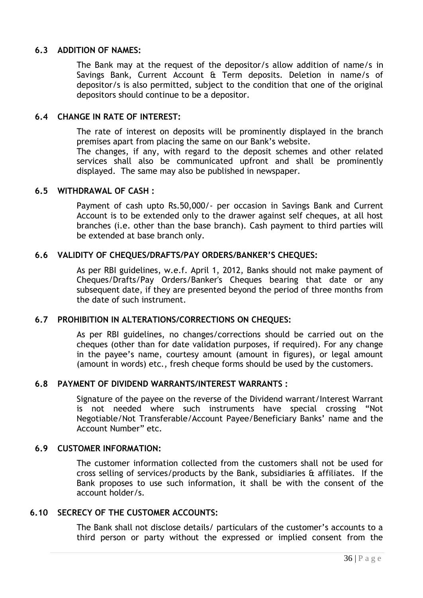#### **6.3 ADDITION OF NAMES:**

The Bank may at the request of the depositor/s allow addition of name/s in Savings Bank, Current Account & Term deposits. Deletion in name/s of depositor/s is also permitted, subject to the condition that one of the original depositors should continue to be a depositor.

#### **6.4 CHANGE IN RATE OF INTEREST:**

The rate of interest on deposits will be prominently displayed in the branch premises apart from placing the same on our Bank"s website.

The changes, if any, with regard to the deposit schemes and other related services shall also be communicated upfront and shall be prominently displayed. The same may also be published in newspaper.

#### **6.5 WITHDRAWAL OF CASH :**

Payment of cash upto Rs.50,000/- per occasion in Savings Bank and Current Account is to be extended only to the drawer against self cheques, at all host branches (i.e. other than the base branch). Cash payment to third parties will be extended at base branch only.

#### **6.6 VALIDITY OF CHEQUES/DRAFTS/PAY ORDERS/BANKER'S CHEQUES:**

As per RBI guidelines, w.e.f. April 1, 2012, Banks should not make payment of Cheques/Drafts/Pay Orders/Banker's Cheques bearing that date or any subsequent date, if they are presented beyond the period of three months from the date of such instrument.

#### **6.7 PROHIBITION IN ALTERATIONS/CORRECTIONS ON CHEQUES:**

As per RBI guidelines, no changes/corrections should be carried out on the cheques (other than for date validation purposes, if required). For any change in the payee's name, courtesy amount (amount in figures), or legal amount (amount in words) etc., fresh cheque forms should be used by the customers.

#### **6.8 PAYMENT OF DIVIDEND WARRANTS/INTEREST WARRANTS :**

Signature of the payee on the reverse of the Dividend warrant/Interest Warrant is not needed where such instruments have special crossing "Not Negotiable/Not Transferable/Account Payee/Beneficiary Banks" name and the Account Number" etc.

#### **6.9 CUSTOMER INFORMATION:**

The customer information collected from the customers shall not be used for cross selling of services/products by the Bank, subsidiaries & affiliates. If the Bank proposes to use such information, it shall be with the consent of the account holder/s.

#### **6.10 SECRECY OF THE CUSTOMER ACCOUNTS:**

The Bank shall not disclose details/ particulars of the customer's accounts to a third person or party without the expressed or implied consent from the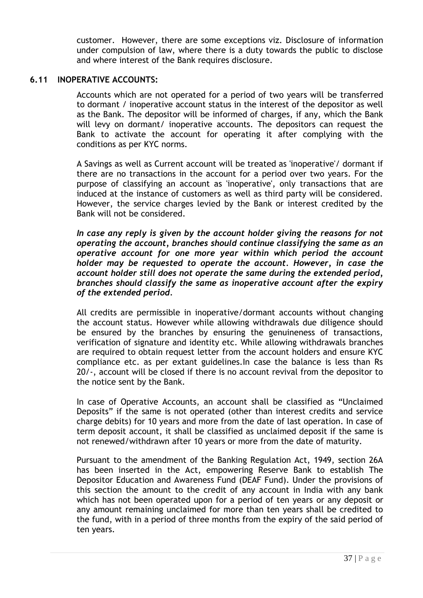customer. However, there are some exceptions viz. Disclosure of information under compulsion of law, where there is a duty towards the public to disclose and where interest of the Bank requires disclosure.

#### **6.11 INOPERATIVE ACCOUNTS:**

Accounts which are not operated for a period of two years will be transferred to dormant / inoperative account status in the interest of the depositor as well as the Bank. The depositor will be informed of charges, if any, which the Bank will levy on dormant/ inoperative accounts. The depositors can request the Bank to activate the account for operating it after complying with the conditions as per KYC norms.

A Savings as well as Current account will be treated as 'inoperative'/ dormant if there are no transactions in the account for a period over two years. For the purpose of classifying an account as 'inoperative', only transactions that are induced at the instance of customers as well as third party will be considered. However, the service charges levied by the Bank or interest credited by the Bank will not be considered.

*In case any reply is given by the account holder giving the reasons for not operating the account, branches should continue classifying the same as an operative account for one more year within which period the account holder may be requested to operate the account. However, in case the account holder still does not operate the same during the extended period, branches should classify the same as inoperative account after the expiry of the extended period.*

All credits are permissible in inoperative/dormant accounts without changing the account status. However while allowing withdrawals due diligence should be ensured by the branches by ensuring the genuineness of transactions, verification of signature and identity etc. While allowing withdrawals branches are required to obtain request letter from the account holders and ensure KYC compliance etc. as per extant guidelines.In case the balance is less than Rs 20/-, account will be closed if there is no account revival from the depositor to the notice sent by the Bank.

In case of Operative Accounts, an account shall be classified as "Unclaimed Deposits" if the same is not operated (other than interest credits and service charge debits) for 10 years and more from the date of last operation. In case of term deposit account, it shall be classified as unclaimed deposit if the same is not renewed/withdrawn after 10 years or more from the date of maturity.

Pursuant to the amendment of the Banking Regulation Act, 1949, section 26A has been inserted in the Act, empowering Reserve Bank to establish The Depositor Education and Awareness Fund (DEAF Fund). Under the provisions of this section the amount to the credit of any account in India with any bank which has not been operated upon for a period of ten years or any deposit or any amount remaining unclaimed for more than ten years shall be credited to the fund, with in a period of three months from the expiry of the said period of ten years.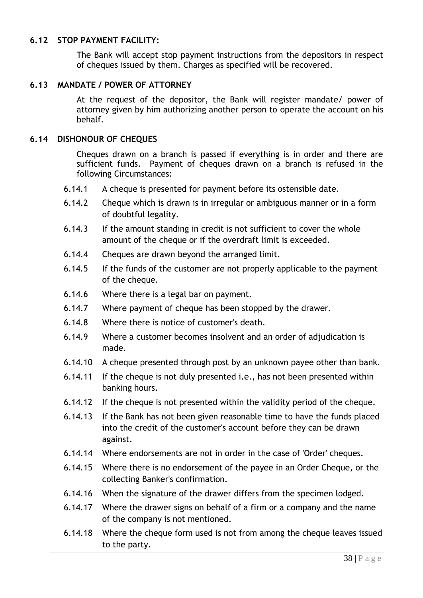#### **6.12 STOP PAYMENT FACILITY:**

The Bank will accept stop payment instructions from the depositors in respect of cheques issued by them. Charges as specified will be recovered.

#### **6.13 MANDATE / POWER OF ATTORNEY**

At the request of the depositor, the Bank will register mandate/ power of attorney given by him authorizing another person to operate the account on his behalf.

#### **6.14 DISHONOUR OF CHEQUES**

Cheques drawn on a branch is passed if everything is in order and there are sufficient funds. Payment of cheques drawn on a branch is refused in the following Circumstances:

- 6.14.1 A cheque is presented for payment before its ostensible date.
- 6.14.2 Cheque which is drawn is in irregular or ambiguous manner or in a form of doubtful legality.
- 6.14.3 If the amount standing in credit is not sufficient to cover the whole amount of the cheque or if the overdraft limit is exceeded.
- 6.14.4 Cheques are drawn beyond the arranged limit.
- 6.14.5 If the funds of the customer are not properly applicable to the payment of the cheque.
- 6.14.6 Where there is a legal bar on payment.
- 6.14.7 Where payment of cheque has been stopped by the drawer.
- 6.14.8 Where there is notice of customer's death.
- 6.14.9 Where a customer becomes insolvent and an order of adjudication is made.
- 6.14.10 A cheque presented through post by an unknown payee other than bank.
- 6.14.11 If the cheque is not duly presented i.e., has not been presented within banking hours.
- 6.14.12 If the cheque is not presented within the validity period of the cheque.
- 6.14.13 If the Bank has not been given reasonable time to have the funds placed into the credit of the customer's account before they can be drawn against.
- 6.14.14 Where endorsements are not in order in the case of 'Order' cheques.
- 6.14.15 Where there is no endorsement of the payee in an Order Cheque, or the collecting Banker's confirmation.
- 6.14.16 When the signature of the drawer differs from the specimen lodged.
- 6.14.17 Where the drawer signs on behalf of a firm or a company and the name of the company is not mentioned.
- 6.14.18 Where the cheque form used is not from among the cheque leaves issued to the party.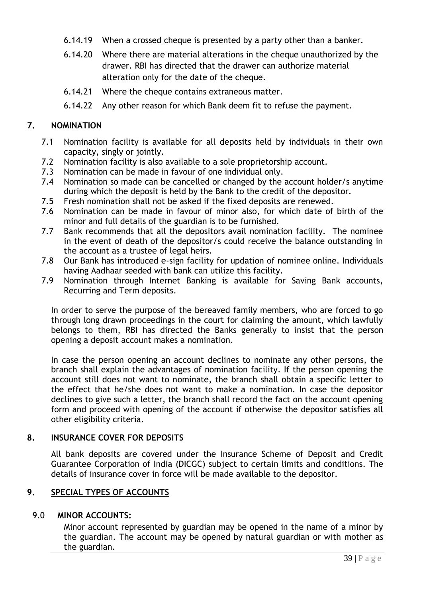- 6.14.19 When a crossed cheque is presented by a party other than a banker.
- 6.14.20 Where there are material alterations in the cheque unauthorized by the drawer. RBI has directed that the drawer can authorize material alteration only for the date of the cheque.
- 6.14.21 Where the cheque contains extraneous matter.
- <span id="page-38-0"></span>6.14.22 Any other reason for which Bank deem fit to refuse the payment.

#### **7. NOMINATION**

- 7.1 Nomination facility is available for all deposits held by individuals in their own capacity, singly or jointly.
- 7.2 Nomination facility is also available to a sole proprietorship account.
- 7.3 Nomination can be made in favour of one individual only.
- 7.4 Nomination so made can be cancelled or changed by the account holder/s anytime during which the deposit is held by the Bank to the credit of the depositor.
- 7.5 Fresh nomination shall not be asked if the fixed deposits are renewed.
- 7.6 Nomination can be made in favour of minor also, for which date of birth of the minor and full details of the guardian is to be furnished.
- 7.7 Bank recommends that all the depositors avail nomination facility. The nominee in the event of death of the depositor/s could receive the balance outstanding in the account as a trustee of legal heirs.
- 7.8 Our Bank has introduced e-sign facility for updation of nominee online. Individuals having Aadhaar seeded with bank can utilize this facility.
- 7.9 Nomination through Internet Banking is available for Saving Bank accounts, Recurring and Term deposits.

In order to serve the purpose of the bereaved family members, who are forced to go through long drawn proceedings in the court for claiming the amount, which lawfully belongs to them, RBI has directed the Banks generally to insist that the person opening a deposit account makes a nomination.

In case the person opening an account declines to nominate any other persons, the branch shall explain the advantages of nomination facility. If the person opening the account still does not want to nominate, the branch shall obtain a specific letter to the effect that he/she does not want to make a nomination. In case the depositor declines to give such a letter, the branch shall record the fact on the account opening form and proceed with opening of the account if otherwise the depositor satisfies all other eligibility criteria.

#### **8. INSURANCE COVER FOR DEPOSITS**

All bank deposits are covered under the Insurance Scheme of Deposit and Credit Guarantee Corporation of India (DICGC) subject to certain limits and conditions. The details of insurance cover in force will be made available to the depositor.

# <span id="page-38-1"></span>**9. SPECIAL TYPES OF ACCOUNTS**

#### 9.0 **MINOR ACCOUNTS:**

Minor account represented by guardian may be opened in the name of a minor by the guardian. The account may be opened by natural guardian or with mother as the guardian.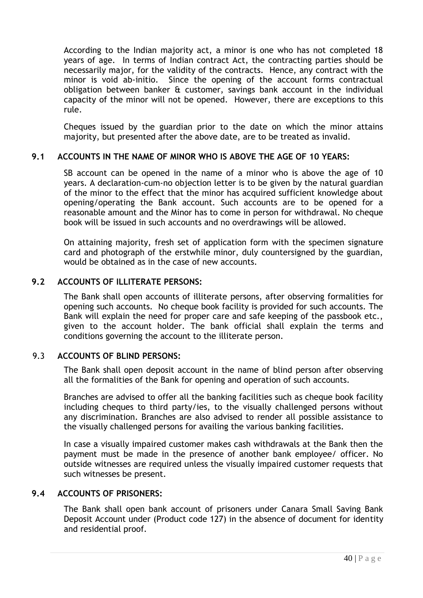According to the Indian majority act, a minor is one who has not completed 18 years of age. In terms of Indian contract Act, the contracting parties should be necessarily major, for the validity of the contracts. Hence, any contract with the minor is void ab-initio. Since the opening of the account forms contractual obligation between banker & customer, savings bank account in the individual capacity of the minor will not be opened. However, there are exceptions to this rule.

Cheques issued by the guardian prior to the date on which the minor attains majority, but presented after the above date, are to be treated as invalid.

#### **9.1 ACCOUNTS IN THE NAME OF MINOR WHO IS ABOVE THE AGE OF 10 YEARS:**

SB account can be opened in the name of a minor who is above the age of 10 years. A declaration-cum-no objection letter is to be given by the natural guardian of the minor to the effect that the minor has acquired sufficient knowledge about opening/operating the Bank account. Such accounts are to be opened for a reasonable amount and the Minor has to come in person for withdrawal. No cheque book will be issued in such accounts and no overdrawings will be allowed.

On attaining majority, fresh set of application form with the specimen signature card and photograph of the erstwhile minor, duly countersigned by the guardian, would be obtained as in the case of new accounts.

#### **9.2 ACCOUNTS OF ILLITERATE PERSONS:**

The Bank shall open accounts of illiterate persons, after observing formalities for opening such accounts. No cheque book facility is provided for such accounts. The Bank will explain the need for proper care and safe keeping of the passbook etc., given to the account holder. The bank official shall explain the terms and conditions governing the account to the illiterate person.

#### 9.3 **ACCOUNTS OF BLIND PERSONS:**

The Bank shall open deposit account in the name of blind person after observing all the formalities of the Bank for opening and operation of such accounts.

Branches are advised to offer all the banking facilities such as cheque book facility including cheques to third party/ies, to the visually challenged persons without any discrimination. Branches are also advised to render all possible assistance to the visually challenged persons for availing the various banking facilities.

In case a visually impaired customer makes cash withdrawals at the Bank then the payment must be made in the presence of another bank employee/ officer. No outside witnesses are required unless the visually impaired customer requests that such witnesses be present.

#### **9.4 ACCOUNTS OF PRISONERS:**

The Bank shall open bank account of prisoners under Canara Small Saving Bank Deposit Account under (Product code 127) in the absence of document for identity and residential proof.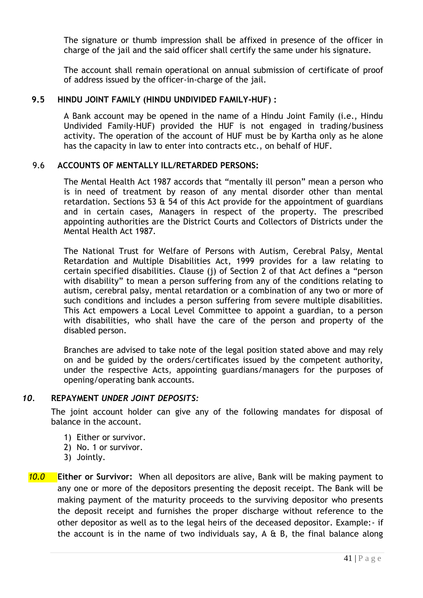The signature or thumb impression shall be affixed in presence of the officer in charge of the jail and the said officer shall certify the same under his signature.

The account shall remain operational on annual submission of certificate of proof of address issued by the officer-in-charge of the jail.

#### **9.5 HINDU JOINT FAMILY (HINDU UNDIVIDED FAMILY-HUF) :**

A Bank account may be opened in the name of a Hindu Joint Family (i.e., Hindu Undivided Family-HUF) provided the HUF is not engaged in trading/business activity. The operation of the account of HUF must be by Kartha only as he alone has the capacity in law to enter into contracts etc., on behalf of HUF.

#### 9.6 **ACCOUNTS OF MENTALLY ILL/RETARDED PERSONS:**

The Mental Health Act 1987 accords that "mentally ill person" mean a person who is in need of treatment by reason of any mental disorder other than mental retardation. Sections 53  $\&$  54 of this Act provide for the appointment of guardians and in certain cases, Managers in respect of the property. The prescribed appointing authorities are the District Courts and Collectors of Districts under the Mental Health Act 1987.

The National Trust for Welfare of Persons with Autism, Cerebral Palsy, Mental Retardation and Multiple Disabilities Act, 1999 provides for a law relating to certain specified disabilities. Clause (j) of Section 2 of that Act defines a "person with disability" to mean a person suffering from any of the conditions relating to autism, cerebral palsy, mental retardation or a combination of any two or more of such conditions and includes a person suffering from severe multiple disabilities. This Act empowers a Local Level Committee to appoint a guardian, to a person with disabilities, who shall have the care of the person and property of the disabled person.

Branches are advised to take note of the legal position stated above and may rely on and be guided by the orders/certificates issued by the competent authority, under the respective Acts, appointing guardians/managers for the purposes of opening/operating bank accounts.

#### *10.* **REPAYMENT** *UNDER JOINT DEPOSITS:*

The joint account holder can give any of the following mandates for disposal of balance in the account.

- 1) Either or survivor.
- 2) No. 1 or survivor.
- 3) Jointly.
- *10.0* **Either or Survivor:** When all depositors are alive, Bank will be making payment to any one or more of the depositors presenting the deposit receipt. The Bank will be making payment of the maturity proceeds to the surviving depositor who presents the deposit receipt and furnishes the proper discharge without reference to the other depositor as well as to the legal heirs of the deceased depositor. Example:- if the account is in the name of two individuals say,  $A \& B$ , the final balance along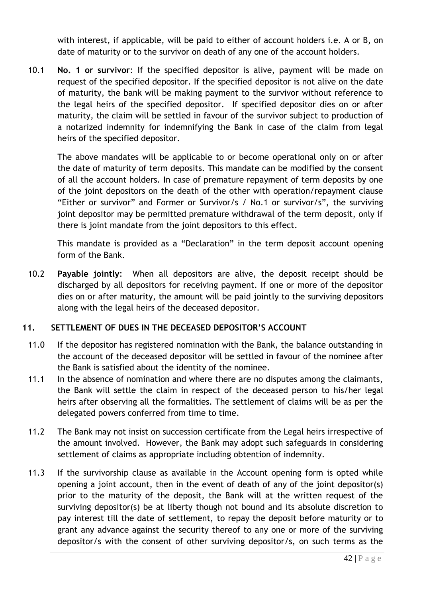with interest, if applicable, will be paid to either of account holders i.e. A or B, on date of maturity or to the survivor on death of any one of the account holders.

10.1 **No. 1 or survivor**: If the specified depositor is alive, payment will be made on request of the specified depositor. If the specified depositor is not alive on the date of maturity, the bank will be making payment to the survivor without reference to the legal heirs of the specified depositor. If specified depositor dies on or after maturity, the claim will be settled in favour of the survivor subject to production of a notarized indemnity for indemnifying the Bank in case of the claim from legal heirs of the specified depositor.

The above mandates will be applicable to or become operational only on or after the date of maturity of term deposits. This mandate can be modified by the consent of all the account holders. In case of premature repayment of term deposits by one of the joint depositors on the death of the other with operation/repayment clause "Either or survivor" and Former or Survivor/s / No.1 or survivor/s", the surviving joint depositor may be permitted premature withdrawal of the term deposit, only if there is joint mandate from the joint depositors to this effect.

This mandate is provided as a "Declaration" in the term deposit account opening form of the Bank.

10.2 **Payable jointly**: When all depositors are alive, the deposit receipt should be discharged by all depositors for receiving payment. If one or more of the depositor dies on or after maturity, the amount will be paid jointly to the surviving depositors along with the legal heirs of the deceased depositor.

# <span id="page-41-0"></span>**11. SETTLEMENT OF DUES IN THE DECEASED DEPOSITOR'S ACCOUNT**

- 11.0 If the depositor has registered nomination with the Bank, the balance outstanding in the account of the deceased depositor will be settled in favour of the nominee after the Bank is satisfied about the identity of the nominee.
- 11.1 In the absence of nomination and where there are no disputes among the claimants, the Bank will settle the claim in respect of the deceased person to his/her legal heirs after observing all the formalities. The settlement of claims will be as per the delegated powers conferred from time to time.
- 11.2 The Bank may not insist on succession certificate from the Legal heirs irrespective of the amount involved. However, the Bank may adopt such safeguards in considering settlement of claims as appropriate including obtention of indemnity.
- 11.3 If the survivorship clause as available in the Account opening form is opted while opening a joint account, then in the event of death of any of the joint depositor(s) prior to the maturity of the deposit, the Bank will at the written request of the surviving depositor(s) be at liberty though not bound and its absolute discretion to pay interest till the date of settlement, to repay the deposit before maturity or to grant any advance against the security thereof to any one or more of the surviving depositor/s with the consent of other surviving depositor/s, on such terms as the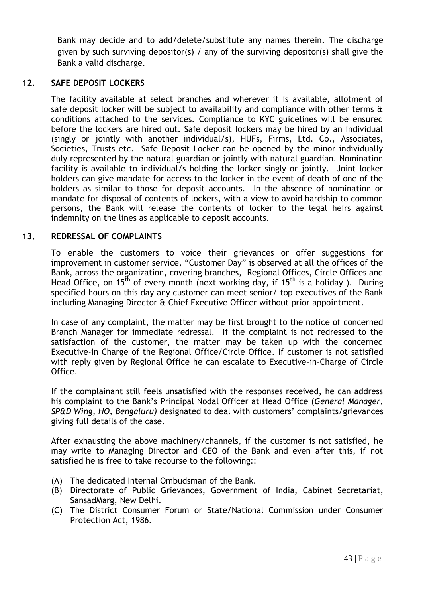Bank may decide and to add/delete/substitute any names therein. The discharge given by such surviving depositor(s) / any of the surviving depositor(s) shall give the Bank a valid discharge.

# **12. SAFE DEPOSIT LOCKERS**

<span id="page-42-0"></span>The facility available at select branches and wherever it is available, allotment of safe deposit locker will be subject to availability and compliance with other terms  $\hat{a}$ conditions attached to the services. Compliance to KYC guidelines will be ensured before the lockers are hired out. Safe deposit lockers may be hired by an individual (singly or jointly with another individual/s), HUFs, Firms, Ltd. Co., Associates, Societies, Trusts etc. Safe Deposit Locker can be opened by the minor individually duly represented by the natural guardian or jointly with natural guardian. Nomination facility is available to individual/s holding the locker singly or jointly. Joint locker holders can give mandate for access to the locker in the event of death of one of the holders as similar to those for deposit accounts. In the absence of nomination or mandate for disposal of contents of lockers, with a view to avoid hardship to common persons, the Bank will release the contents of locker to the legal heirs against indemnity on the lines as applicable to deposit accounts.

# **13. REDRESSAL OF COMPLAINTS**

<span id="page-42-1"></span>To enable the customers to voice their grievances or offer suggestions for improvement in customer service, "Customer Day" is observed at all the offices of the Bank, across the organization, covering branches, Regional Offices, Circle Offices and Head Office, on 15<sup>th</sup> of every month (next working day, if 15<sup>th</sup> is a holiday). During specified hours on this day any customer can meet senior/ top executives of the Bank including Managing Director & Chief Executive Officer without prior appointment.

In case of any complaint, the matter may be first brought to the notice of concerned Branch Manager for immediate redressal. If the complaint is not redressed to the satisfaction of the customer, the matter may be taken up with the concerned Executive-in Charge of the Regional Office/Circle Office. If customer is not satisfied with reply given by Regional Office he can escalate to Executive-in-Charge of Circle Office.

If the complainant still feels unsatisfied with the responses received, he can address his complaint to the Bank"s Principal Nodal Officer at Head Office (*General Manager, SP&D Wing, HO, Bengaluru)* designated to deal with customers" complaints/grievances giving full details of the case.

After exhausting the above machinery/channels, if the customer is not satisfied, he may write to Managing Director and CEO of the Bank and even after this, if not satisfied he is free to take recourse to the following::

- (A) The dedicated Internal Ombudsman of the Bank.
- (B) Directorate of Public Grievances, Government of India, Cabinet Secretariat, SansadMarg, New Delhi.
- (C) The District Consumer Forum or State/National Commission under Consumer Protection Act, 1986.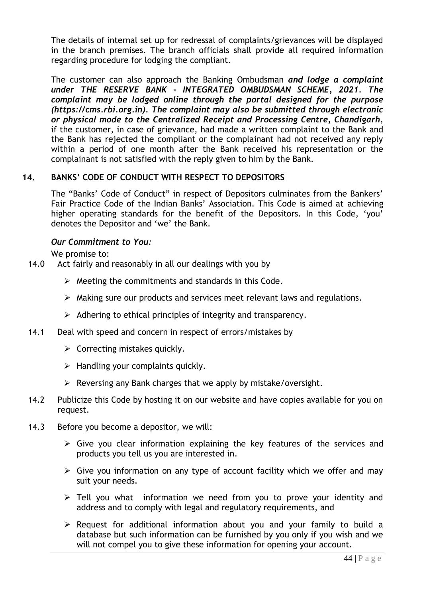The details of internal set up for redressal of complaints/grievances will be displayed in the branch premises. The branch officials shall provide all required information regarding procedure for lodging the compliant.

The customer can also approach the Banking Ombudsman *and lodge a complaint under THE RESERVE BANK - INTEGRATED OMBUDSMAN SCHEME, 2021. The complaint may be lodged online through the portal designed for the purpose (https://cms.rbi.org.in). The complaint may also be submitted through electronic or physical mode to the Centralized Receipt and Processing Centre, Chandigarh,*  if the customer, in case of grievance, had made a written complaint to the Bank and the Bank has rejected the compliant or the complainant had not received any reply within a period of one month after the Bank received his representation or the complainant is not satisfied with the reply given to him by the Bank.

#### **14. BANKS' CODE OF CONDUCT WITH RESPECT TO DEPOSITORS**

<span id="page-43-0"></span>The "Banks' Code of Conduct" in respect of Depositors culminates from the Bankers' Fair Practice Code of the Indian Banks" Association. This Code is aimed at achieving higher operating standards for the benefit of the Depositors. In this Code, 'you' denotes the Depositor and 'we' the Bank.

#### *Our Commitment to You:*

We promise to:

- 14.0 Act fairly and reasonably in all our dealings with you by
	- $\triangleright$  Meeting the commitments and standards in this Code.
	- $\triangleright$  Making sure our products and services meet relevant laws and regulations.
	- $\triangleright$  Adhering to ethical principles of integrity and transparency.
- 14.1 Deal with speed and concern in respect of errors/mistakes by
	- $\triangleright$  Correcting mistakes quickly.
	- $\triangleright$  Handling your complaints quickly.
	- $\triangleright$  Reversing any Bank charges that we apply by mistake/oversight.
- 14.2 Publicize this Code by hosting it on our website and have copies available for you on request.
- 14.3 Before you become a depositor, we will:
	- $\triangleright$  Give you clear information explaining the key features of the services and products you tell us you are interested in.
	- $\triangleright$  Give you information on any type of account facility which we offer and may suit your needs.
	- $\triangleright$  Tell you what information we need from you to prove your identity and address and to comply with legal and regulatory requirements, and
	- $\triangleright$  Request for additional information about you and your family to build a database but such information can be furnished by you only if you wish and we will not compel you to give these information for opening your account.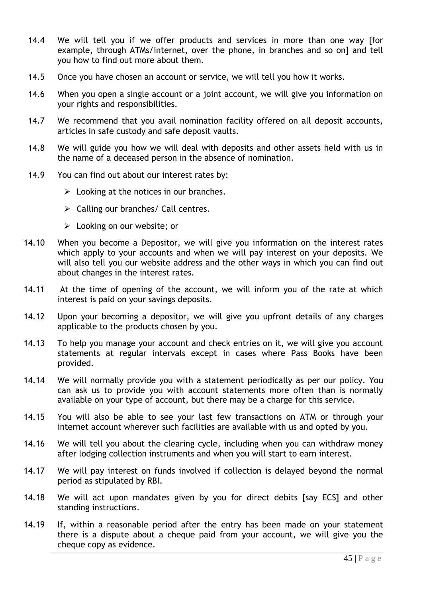- 14.4 We will tell you if we offer products and services in more than one way [for example, through ATMs/internet, over the phone, in branches and so on] and tell you how to find out more about them.
- 14.5 Once you have chosen an account or service, we will tell you how it works.
- 14.6 When you open a single account or a joint account, we will give you information on your rights and responsibilities.
- 14.7 We recommend that you avail nomination facility offered on all deposit accounts, articles in safe custody and safe deposit vaults.
- 14.8 We will guide you how we will deal with deposits and other assets held with us in the name of a deceased person in the absence of nomination.
- 14.9 You can find out about our interest rates by:
	- $\triangleright$  Looking at the notices in our branches.
	- $\triangleright$  Calling our branches/ Call centres.
	- Looking on our website; or
- 14.10 When you become a Depositor, we will give you information on the interest rates which apply to your accounts and when we will pay interest on your deposits. We will also tell you our website address and the other ways in which you can find out about changes in the interest rates.
- 14.11 At the time of opening of the account, we will inform you of the rate at which interest is paid on your savings deposits.
- 14.12 Upon your becoming a depositor, we will give you upfront details of any charges applicable to the products chosen by you.
- 14.13 To help you manage your account and check entries on it, we will give you account statements at regular intervals except in cases where Pass Books have been provided.
- 14.14 We will normally provide you with a statement periodically as per our policy. You can ask us to provide you with account statements more often than is normally available on your type of account, but there may be a charge for this service.
- 14.15 You will also be able to see your last few transactions on ATM or through your internet account wherever such facilities are available with us and opted by you.
- 14.16 We will tell you about the clearing cycle, including when you can withdraw money after lodging collection instruments and when you will start to earn interest.
- 14.17 We will pay interest on funds involved if collection is delayed beyond the normal period as stipulated by RBI.
- 14.18 We will act upon mandates given by you for direct debits [say ECS] and other standing instructions.
- 14.19 If, within a reasonable period after the entry has been made on your statement there is a dispute about a cheque paid from your account, we will give you the cheque copy as evidence.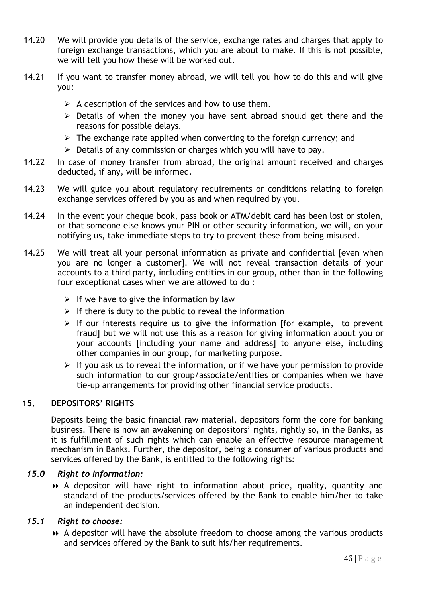- 14.20 We will provide you details of the service, exchange rates and charges that apply to foreign exchange transactions, which you are about to make. If this is not possible, we will tell you how these will be worked out.
- 14.21 If you want to transfer money abroad, we will tell you how to do this and will give you:
	- $\triangleright$  A description of the services and how to use them.
	- $\triangleright$  Details of when the money you have sent abroad should get there and the reasons for possible delays.
	- $\triangleright$  The exchange rate applied when converting to the foreign currency; and
	- $\triangleright$  Details of any commission or charges which you will have to pay.
- 14.22 In case of money transfer from abroad, the original amount received and charges deducted, if any, will be informed.
- 14.23 We will guide you about regulatory requirements or conditions relating to foreign exchange services offered by you as and when required by you.
- 14.24 In the event your cheque book, pass book or ATM/debit card has been lost or stolen, or that someone else knows your PIN or other security information, we will, on your notifying us, take immediate steps to try to prevent these from being misused.
- 14.25 We will treat all your personal information as private and confidential [even when you are no longer a customer]. We will not reveal transaction details of your accounts to a third party, including entities in our group, other than in the following four exceptional cases when we are allowed to do :
	- $\triangleright$  If we have to give the information by law
	- $\triangleright$  If there is duty to the public to reveal the information
	- $\triangleright$  If our interests require us to give the information [for example, to prevent fraud] but we will not use this as a reason for giving information about you or your accounts [including your name and address] to anyone else, including other companies in our group, for marketing purpose.
	- $\triangleright$  If you ask us to reveal the information, or if we have your permission to provide such information to our group/associate/entities or companies when we have tie-up arrangements for providing other financial service products.

# **15. DEPOSITORS' RIGHTS**

<span id="page-45-0"></span>Deposits being the basic financial raw material, depositors form the core for banking business. There is now an awakening on depositors' rights, rightly so, in the Banks, as it is fulfillment of such rights which can enable an effective resource management mechanism in Banks. Further, the depositor, being a consumer of various products and services offered by the Bank, is entitled to the following rights:

#### *15.0 Right to Information:*

 A depositor will have right to information about price, quality, quantity and standard of the products/services offered by the Bank to enable him/her to take an independent decision.

#### *15.1 Right to choose:*

 A depositor will have the absolute freedom to choose among the various products and services offered by the Bank to suit his/her requirements.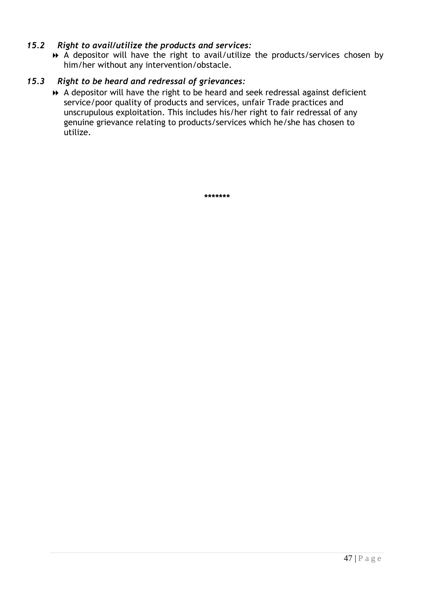### *15.2 Right to avail/utilize the products and services:*

 A depositor will have the right to avail/utilize the products/services chosen by him/her without any intervention/obstacle.

# *15.3 Right to be heard and redressal of grievances:*

 A depositor will have the right to be heard and seek redressal against deficient service/poor quality of products and services, unfair Trade practices and unscrupulous exploitation. This includes his/her right to fair redressal of any genuine grievance relating to products/services which he/she has chosen to utilize.

**\*\*\*\*\*\*\***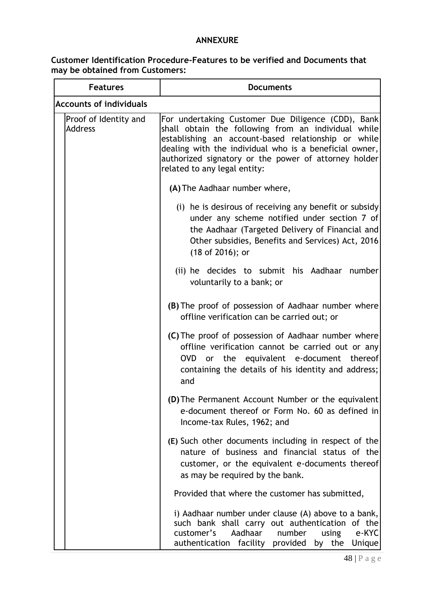# **ANNEXURE**

## **Customer Identification Procedure-Features to be verified and Documents that may be obtained from Customers:**

| <b>Features</b>                         | <b>Documents</b>                                                                                                                                                                                                                                                                                                   |  |  |  |  |  |
|-----------------------------------------|--------------------------------------------------------------------------------------------------------------------------------------------------------------------------------------------------------------------------------------------------------------------------------------------------------------------|--|--|--|--|--|
| <b>Accounts of individuals</b>          |                                                                                                                                                                                                                                                                                                                    |  |  |  |  |  |
| Proof of Identity and<br><b>Address</b> | For undertaking Customer Due Diligence (CDD), Bank<br>shall obtain the following from an individual while<br>establishing an account-based relationship or while<br>dealing with the individual who is a beneficial owner,<br>authorized signatory or the power of attorney holder<br>related to any legal entity: |  |  |  |  |  |
|                                         | (A) The Aadhaar number where,                                                                                                                                                                                                                                                                                      |  |  |  |  |  |
|                                         | (i) he is desirous of receiving any benefit or subsidy<br>under any scheme notified under section 7 of<br>the Aadhaar (Targeted Delivery of Financial and<br>Other subsidies, Benefits and Services) Act, 2016<br>(18 of 2016); or                                                                                 |  |  |  |  |  |
|                                         | (ii) he decides to submit his Aadhaar number<br>voluntarily to a bank; or                                                                                                                                                                                                                                          |  |  |  |  |  |
|                                         | (B) The proof of possession of Aadhaar number where<br>offline verification can be carried out; or                                                                                                                                                                                                                 |  |  |  |  |  |
|                                         | (C) The proof of possession of Aadhaar number where<br>offline verification cannot be carried out or any<br>OVD or the equivalent e-document thereof<br>containing the details of his identity and address;<br>and                                                                                                 |  |  |  |  |  |
|                                         | (D) The Permanent Account Number or the equivalent<br>e-document thereof or Form No. 60 as defined in<br>Income-tax Rules, 1962; and                                                                                                                                                                               |  |  |  |  |  |
|                                         | (E) Such other documents including in respect of the<br>nature of business and financial status of the<br>customer, or the equivalent e-documents thereof<br>as may be required by the bank.                                                                                                                       |  |  |  |  |  |
|                                         | Provided that where the customer has submitted,                                                                                                                                                                                                                                                                    |  |  |  |  |  |
|                                         | i) Aadhaar number under clause (A) above to a bank,<br>such bank shall carry out authentication of the<br>Aadhaar<br>customer's<br>number<br>using<br>e-KYC<br>authentication facility provided by the<br>Unique                                                                                                   |  |  |  |  |  |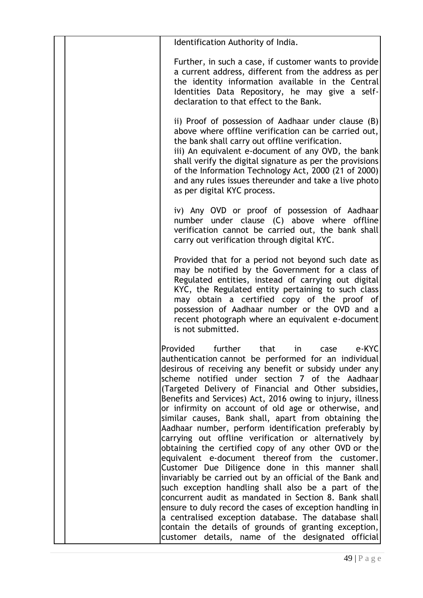| Identification Authority of India.                                                                                                                                                                                                                                                                                                                                                                                                                                                                                                                                                                                                                                                                                                                                                                                                                                                                                                                                                                                                                                                                                                                        |
|-----------------------------------------------------------------------------------------------------------------------------------------------------------------------------------------------------------------------------------------------------------------------------------------------------------------------------------------------------------------------------------------------------------------------------------------------------------------------------------------------------------------------------------------------------------------------------------------------------------------------------------------------------------------------------------------------------------------------------------------------------------------------------------------------------------------------------------------------------------------------------------------------------------------------------------------------------------------------------------------------------------------------------------------------------------------------------------------------------------------------------------------------------------|
| Further, in such a case, if customer wants to provide<br>a current address, different from the address as per<br>the identity information available in the Central<br>Identities Data Repository, he may give a self-<br>declaration to that effect to the Bank.                                                                                                                                                                                                                                                                                                                                                                                                                                                                                                                                                                                                                                                                                                                                                                                                                                                                                          |
| ii) Proof of possession of Aadhaar under clause (B)<br>above where offline verification can be carried out,<br>the bank shall carry out offline verification.<br>iii) An equivalent e-document of any OVD, the bank<br>shall verify the digital signature as per the provisions<br>of the Information Technology Act, 2000 (21 of 2000)<br>and any rules issues thereunder and take a live photo<br>as per digital KYC process.                                                                                                                                                                                                                                                                                                                                                                                                                                                                                                                                                                                                                                                                                                                           |
| iv) Any OVD or proof of possession of Aadhaar<br>number under clause (C) above where offline<br>verification cannot be carried out, the bank shall<br>carry out verification through digital KYC.                                                                                                                                                                                                                                                                                                                                                                                                                                                                                                                                                                                                                                                                                                                                                                                                                                                                                                                                                         |
| Provided that for a period not beyond such date as<br>may be notified by the Government for a class of<br>Regulated entities, instead of carrying out digital<br>KYC, the Regulated entity pertaining to such class<br>may obtain a certified copy of the proof of<br>possession of Aadhaar number or the OVD and a<br>recent photograph where an equivalent e-document<br>is not submitted.                                                                                                                                                                                                                                                                                                                                                                                                                                                                                                                                                                                                                                                                                                                                                              |
| e-KYC<br>Provided further<br>that<br>in i<br>case<br>authentication cannot be performed for an individual<br>desirous of receiving any benefit or subsidy under any<br>scheme notified under section 7 of the Aadhaar<br>(Targeted Delivery of Financial and Other subsidies,<br>Benefits and Services) Act, 2016 owing to injury, illness<br>or infirmity on account of old age or otherwise, and<br>similar causes, Bank shall, apart from obtaining the<br>Aadhaar number, perform identification preferably by<br>carrying out offline verification or alternatively by<br>obtaining the certified copy of any other OVD or the<br>equivalent e-document thereof from the customer.<br>Customer Due Diligence done in this manner shall<br>invariably be carried out by an official of the Bank and<br>such exception handling shall also be a part of the<br>concurrent audit as mandated in Section 8. Bank shall<br>ensure to duly record the cases of exception handling in<br>a centralised exception database. The database shall<br>contain the details of grounds of granting exception,<br>customer details, name of the designated official |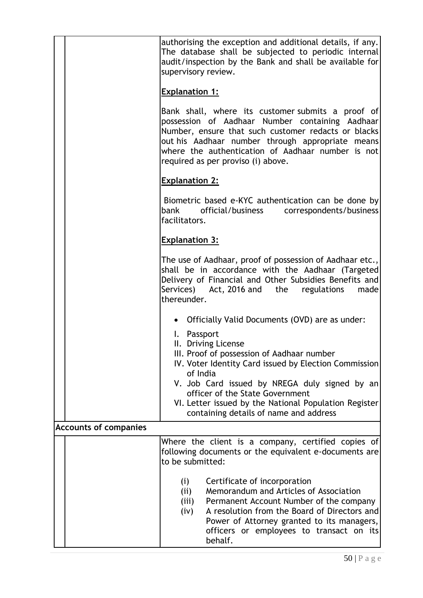|                              | authorising the exception and additional details, if any.<br>The database shall be subjected to periodic internal<br>audit/inspection by the Bank and shall be available for<br>supervisory review.<br><b>Explanation 1:</b><br>Bank shall, where its customer submits a proof of<br>possession of Aadhaar Number containing Aadhaar<br>Number, ensure that such customer redacts or blacks<br>out his Aadhaar number through appropriate means<br>where the authentication of Aadhaar number is not<br>required as per proviso (i) above. |
|------------------------------|--------------------------------------------------------------------------------------------------------------------------------------------------------------------------------------------------------------------------------------------------------------------------------------------------------------------------------------------------------------------------------------------------------------------------------------------------------------------------------------------------------------------------------------------|
|                              | <b>Explanation 2:</b>                                                                                                                                                                                                                                                                                                                                                                                                                                                                                                                      |
|                              | Biometric based e-KYC authentication can be done by<br>official/business correspondents/business<br>bank<br>facilitators.                                                                                                                                                                                                                                                                                                                                                                                                                  |
|                              | <b>Explanation 3:</b>                                                                                                                                                                                                                                                                                                                                                                                                                                                                                                                      |
|                              | The use of Aadhaar, proof of possession of Aadhaar etc.,<br>shall be in accordance with the Aadhaar (Targeted<br>Delivery of Financial and Other Subsidies Benefits and<br>Services) Act, 2016 and the regulations<br>made<br>thereunder.                                                                                                                                                                                                                                                                                                  |
|                              | Officially Valid Documents (OVD) are as under:                                                                                                                                                                                                                                                                                                                                                                                                                                                                                             |
|                              | I. Passport<br>II. Driving License<br>III. Proof of possession of Aadhaar number<br>IV. Voter Identity Card issued by Election Commission<br>of India                                                                                                                                                                                                                                                                                                                                                                                      |
|                              | V. Job Card issued by NREGA duly signed by an<br>officer of the State Government<br>VI. Letter issued by the National Population Register<br>containing details of name and address                                                                                                                                                                                                                                                                                                                                                        |
| <b>Accounts of companies</b> |                                                                                                                                                                                                                                                                                                                                                                                                                                                                                                                                            |
|                              | Where the client is a company, certified copies of<br>following documents or the equivalent e-documents are<br>to be submitted:                                                                                                                                                                                                                                                                                                                                                                                                            |
|                              | Certificate of incorporation<br>(i)<br>Memorandum and Articles of Association<br>(ii)<br>Permanent Account Number of the company<br>(iii)<br>A resolution from the Board of Directors and<br>(iv)<br>Power of Attorney granted to its managers,<br>officers or employees to transact on its<br>behalf.                                                                                                                                                                                                                                     |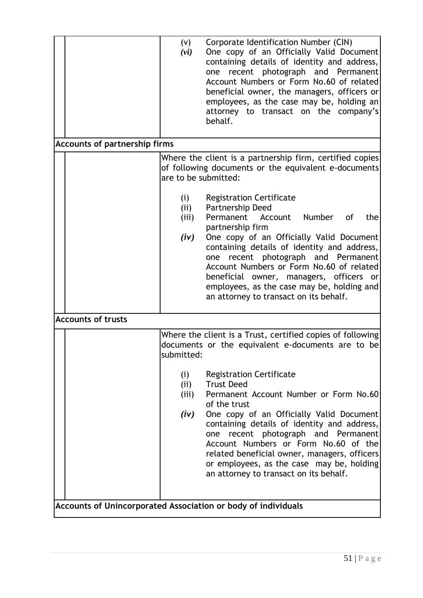|                                                               | (v)<br>(vi)                                          | Corporate Identification Number (CIN)<br>One copy of an Officially Valid Document<br>containing details of identity and address,<br>one recent photograph and Permanent<br>Account Numbers or Form No.60 of related<br>beneficial owner, the managers, officers or<br>employees, as the case may be, holding an<br>attorney to transact on the company's<br>behalf.                                                                                                                                                                                      |  |  |
|---------------------------------------------------------------|------------------------------------------------------|----------------------------------------------------------------------------------------------------------------------------------------------------------------------------------------------------------------------------------------------------------------------------------------------------------------------------------------------------------------------------------------------------------------------------------------------------------------------------------------------------------------------------------------------------------|--|--|
| <b>Accounts of partnership firms</b>                          |                                                      |                                                                                                                                                                                                                                                                                                                                                                                                                                                                                                                                                          |  |  |
|                                                               | are to be submitted:<br>(i)<br>(ii)<br>(iii)<br>(iv) | Where the client is a partnership firm, certified copies<br>of following documents or the equivalent e-documents<br><b>Registration Certificate</b><br>Partnership Deed<br>Permanent Account<br>Number of<br>the<br>partnership firm<br>One copy of an Officially Valid Document<br>containing details of identity and address,<br>recent photograph and Permanent<br>one<br>Account Numbers or Form No.60 of related<br>beneficial owner, managers, officers or<br>employees, as the case may be, holding and<br>an attorney to transact on its behalf. |  |  |
| <b>Accounts of trusts</b>                                     |                                                      |                                                                                                                                                                                                                                                                                                                                                                                                                                                                                                                                                          |  |  |
|                                                               | submitted:<br>(i)<br>(ii)<br>(iii)<br>(iv)           | Where the client is a Trust, certified copies of following<br>documents or the equivalent e-documents are to be<br><b>Registration Certificate</b><br><b>Trust Deed</b><br>Permanent Account Number or Form No.60<br>of the trust<br>One copy of an Officially Valid Document<br>containing details of identity and address,<br>one recent photograph and Permanent<br>Account Numbers or Form No.60 of the<br>related beneficial owner, managers, officers<br>or employees, as the case may be, holding<br>an attorney to transact on its behalf.       |  |  |
| Accounts of Unincorporated Association or body of individuals |                                                      |                                                                                                                                                                                                                                                                                                                                                                                                                                                                                                                                                          |  |  |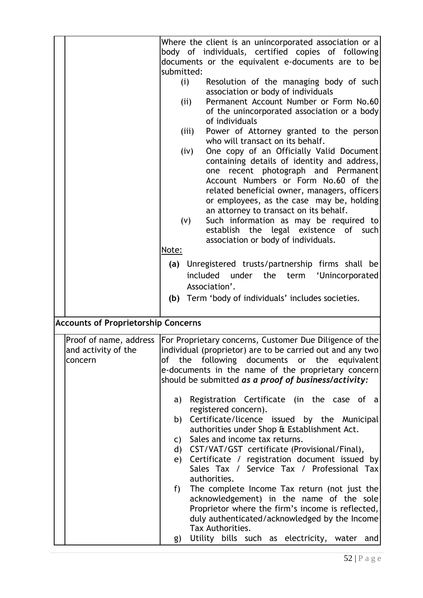| body of individuals, certified copies of following<br>documents or the equivalent e-documents are to be<br>submitted:<br>(i)<br>Resolution of the managing body of such<br>association or body of individuals<br>Permanent Account Number or Form No.60<br>(i)<br>of the unincorporated association or a body<br>of individuals<br>Power of Attorney granted to the person<br>(iii)<br>who will transact on its behalf.<br>One copy of an Officially Valid Document<br>(iv)<br>containing details of identity and address,<br>recent photograph and Permanent<br>one<br>Account Numbers or Form No.60 of the<br>related beneficial owner, managers, officers<br>or employees, as the case may be, holding<br>an attorney to transact on its behalf.<br>Such information as may be required to<br>(V)<br>establish the legal existence<br>of such<br>association or body of individuals.<br>Note:<br>(a) Unregistered trusts/partnership firms shall be<br>included<br>under the<br>term 'Unincorporated<br>Association'.<br>(b) Term 'body of individuals' includes societies.<br><b>Accounts of Proprietorship Concerns</b><br>For Proprietary concerns, Customer Due Diligence of the<br>Proof of name, address<br>individual (proprietor) are to be carried out and any two<br>and activity of the<br>of the following documents or the equivalent<br>concern<br>e-documents in the name of the proprietary concern<br>should be submitted as a proof of business/activity:<br>Registration Certificate (in the case of a<br>a)<br>registered concern).<br>Certificate/licence issued by the Municipal<br>b)<br>authorities under Shop & Establishment Act.<br>Sales and income tax returns.<br>C)<br>CST/VAT/GST certificate (Provisional/Final),<br>d)<br>Certificate / registration document issued by<br>e)<br>Sales Tax / Service Tax / Professional Tax<br>authorities.<br>The complete Income Tax return (not just the<br>f)<br>acknowledgement) in the name of the sole<br>Proprietor where the firm's income is reflected,<br>duly authenticated/acknowledged by the Income<br>Tax Authorities. |  | Where the client is an unincorporated association or a |
|-------------------------------------------------------------------------------------------------------------------------------------------------------------------------------------------------------------------------------------------------------------------------------------------------------------------------------------------------------------------------------------------------------------------------------------------------------------------------------------------------------------------------------------------------------------------------------------------------------------------------------------------------------------------------------------------------------------------------------------------------------------------------------------------------------------------------------------------------------------------------------------------------------------------------------------------------------------------------------------------------------------------------------------------------------------------------------------------------------------------------------------------------------------------------------------------------------------------------------------------------------------------------------------------------------------------------------------------------------------------------------------------------------------------------------------------------------------------------------------------------------------------------------------------------------------------------------------------------------------------------------------------------------------------------------------------------------------------------------------------------------------------------------------------------------------------------------------------------------------------------------------------------------------------------------------------------------------------------------------------------------------------------------------------------------------------------------------------------------------|--|--------------------------------------------------------|
|                                                                                                                                                                                                                                                                                                                                                                                                                                                                                                                                                                                                                                                                                                                                                                                                                                                                                                                                                                                                                                                                                                                                                                                                                                                                                                                                                                                                                                                                                                                                                                                                                                                                                                                                                                                                                                                                                                                                                                                                                                                                                                             |  |                                                        |
|                                                                                                                                                                                                                                                                                                                                                                                                                                                                                                                                                                                                                                                                                                                                                                                                                                                                                                                                                                                                                                                                                                                                                                                                                                                                                                                                                                                                                                                                                                                                                                                                                                                                                                                                                                                                                                                                                                                                                                                                                                                                                                             |  |                                                        |
|                                                                                                                                                                                                                                                                                                                                                                                                                                                                                                                                                                                                                                                                                                                                                                                                                                                                                                                                                                                                                                                                                                                                                                                                                                                                                                                                                                                                                                                                                                                                                                                                                                                                                                                                                                                                                                                                                                                                                                                                                                                                                                             |  |                                                        |
|                                                                                                                                                                                                                                                                                                                                                                                                                                                                                                                                                                                                                                                                                                                                                                                                                                                                                                                                                                                                                                                                                                                                                                                                                                                                                                                                                                                                                                                                                                                                                                                                                                                                                                                                                                                                                                                                                                                                                                                                                                                                                                             |  |                                                        |
|                                                                                                                                                                                                                                                                                                                                                                                                                                                                                                                                                                                                                                                                                                                                                                                                                                                                                                                                                                                                                                                                                                                                                                                                                                                                                                                                                                                                                                                                                                                                                                                                                                                                                                                                                                                                                                                                                                                                                                                                                                                                                                             |  |                                                        |
|                                                                                                                                                                                                                                                                                                                                                                                                                                                                                                                                                                                                                                                                                                                                                                                                                                                                                                                                                                                                                                                                                                                                                                                                                                                                                                                                                                                                                                                                                                                                                                                                                                                                                                                                                                                                                                                                                                                                                                                                                                                                                                             |  |                                                        |
|                                                                                                                                                                                                                                                                                                                                                                                                                                                                                                                                                                                                                                                                                                                                                                                                                                                                                                                                                                                                                                                                                                                                                                                                                                                                                                                                                                                                                                                                                                                                                                                                                                                                                                                                                                                                                                                                                                                                                                                                                                                                                                             |  |                                                        |
|                                                                                                                                                                                                                                                                                                                                                                                                                                                                                                                                                                                                                                                                                                                                                                                                                                                                                                                                                                                                                                                                                                                                                                                                                                                                                                                                                                                                                                                                                                                                                                                                                                                                                                                                                                                                                                                                                                                                                                                                                                                                                                             |  |                                                        |
|                                                                                                                                                                                                                                                                                                                                                                                                                                                                                                                                                                                                                                                                                                                                                                                                                                                                                                                                                                                                                                                                                                                                                                                                                                                                                                                                                                                                                                                                                                                                                                                                                                                                                                                                                                                                                                                                                                                                                                                                                                                                                                             |  |                                                        |
|                                                                                                                                                                                                                                                                                                                                                                                                                                                                                                                                                                                                                                                                                                                                                                                                                                                                                                                                                                                                                                                                                                                                                                                                                                                                                                                                                                                                                                                                                                                                                                                                                                                                                                                                                                                                                                                                                                                                                                                                                                                                                                             |  |                                                        |
|                                                                                                                                                                                                                                                                                                                                                                                                                                                                                                                                                                                                                                                                                                                                                                                                                                                                                                                                                                                                                                                                                                                                                                                                                                                                                                                                                                                                                                                                                                                                                                                                                                                                                                                                                                                                                                                                                                                                                                                                                                                                                                             |  |                                                        |
|                                                                                                                                                                                                                                                                                                                                                                                                                                                                                                                                                                                                                                                                                                                                                                                                                                                                                                                                                                                                                                                                                                                                                                                                                                                                                                                                                                                                                                                                                                                                                                                                                                                                                                                                                                                                                                                                                                                                                                                                                                                                                                             |  |                                                        |
|                                                                                                                                                                                                                                                                                                                                                                                                                                                                                                                                                                                                                                                                                                                                                                                                                                                                                                                                                                                                                                                                                                                                                                                                                                                                                                                                                                                                                                                                                                                                                                                                                                                                                                                                                                                                                                                                                                                                                                                                                                                                                                             |  |                                                        |
|                                                                                                                                                                                                                                                                                                                                                                                                                                                                                                                                                                                                                                                                                                                                                                                                                                                                                                                                                                                                                                                                                                                                                                                                                                                                                                                                                                                                                                                                                                                                                                                                                                                                                                                                                                                                                                                                                                                                                                                                                                                                                                             |  |                                                        |
|                                                                                                                                                                                                                                                                                                                                                                                                                                                                                                                                                                                                                                                                                                                                                                                                                                                                                                                                                                                                                                                                                                                                                                                                                                                                                                                                                                                                                                                                                                                                                                                                                                                                                                                                                                                                                                                                                                                                                                                                                                                                                                             |  |                                                        |
|                                                                                                                                                                                                                                                                                                                                                                                                                                                                                                                                                                                                                                                                                                                                                                                                                                                                                                                                                                                                                                                                                                                                                                                                                                                                                                                                                                                                                                                                                                                                                                                                                                                                                                                                                                                                                                                                                                                                                                                                                                                                                                             |  |                                                        |
|                                                                                                                                                                                                                                                                                                                                                                                                                                                                                                                                                                                                                                                                                                                                                                                                                                                                                                                                                                                                                                                                                                                                                                                                                                                                                                                                                                                                                                                                                                                                                                                                                                                                                                                                                                                                                                                                                                                                                                                                                                                                                                             |  |                                                        |
|                                                                                                                                                                                                                                                                                                                                                                                                                                                                                                                                                                                                                                                                                                                                                                                                                                                                                                                                                                                                                                                                                                                                                                                                                                                                                                                                                                                                                                                                                                                                                                                                                                                                                                                                                                                                                                                                                                                                                                                                                                                                                                             |  |                                                        |
|                                                                                                                                                                                                                                                                                                                                                                                                                                                                                                                                                                                                                                                                                                                                                                                                                                                                                                                                                                                                                                                                                                                                                                                                                                                                                                                                                                                                                                                                                                                                                                                                                                                                                                                                                                                                                                                                                                                                                                                                                                                                                                             |  |                                                        |
|                                                                                                                                                                                                                                                                                                                                                                                                                                                                                                                                                                                                                                                                                                                                                                                                                                                                                                                                                                                                                                                                                                                                                                                                                                                                                                                                                                                                                                                                                                                                                                                                                                                                                                                                                                                                                                                                                                                                                                                                                                                                                                             |  |                                                        |
|                                                                                                                                                                                                                                                                                                                                                                                                                                                                                                                                                                                                                                                                                                                                                                                                                                                                                                                                                                                                                                                                                                                                                                                                                                                                                                                                                                                                                                                                                                                                                                                                                                                                                                                                                                                                                                                                                                                                                                                                                                                                                                             |  |                                                        |
|                                                                                                                                                                                                                                                                                                                                                                                                                                                                                                                                                                                                                                                                                                                                                                                                                                                                                                                                                                                                                                                                                                                                                                                                                                                                                                                                                                                                                                                                                                                                                                                                                                                                                                                                                                                                                                                                                                                                                                                                                                                                                                             |  |                                                        |
|                                                                                                                                                                                                                                                                                                                                                                                                                                                                                                                                                                                                                                                                                                                                                                                                                                                                                                                                                                                                                                                                                                                                                                                                                                                                                                                                                                                                                                                                                                                                                                                                                                                                                                                                                                                                                                                                                                                                                                                                                                                                                                             |  |                                                        |
|                                                                                                                                                                                                                                                                                                                                                                                                                                                                                                                                                                                                                                                                                                                                                                                                                                                                                                                                                                                                                                                                                                                                                                                                                                                                                                                                                                                                                                                                                                                                                                                                                                                                                                                                                                                                                                                                                                                                                                                                                                                                                                             |  |                                                        |
|                                                                                                                                                                                                                                                                                                                                                                                                                                                                                                                                                                                                                                                                                                                                                                                                                                                                                                                                                                                                                                                                                                                                                                                                                                                                                                                                                                                                                                                                                                                                                                                                                                                                                                                                                                                                                                                                                                                                                                                                                                                                                                             |  |                                                        |
|                                                                                                                                                                                                                                                                                                                                                                                                                                                                                                                                                                                                                                                                                                                                                                                                                                                                                                                                                                                                                                                                                                                                                                                                                                                                                                                                                                                                                                                                                                                                                                                                                                                                                                                                                                                                                                                                                                                                                                                                                                                                                                             |  |                                                        |
|                                                                                                                                                                                                                                                                                                                                                                                                                                                                                                                                                                                                                                                                                                                                                                                                                                                                                                                                                                                                                                                                                                                                                                                                                                                                                                                                                                                                                                                                                                                                                                                                                                                                                                                                                                                                                                                                                                                                                                                                                                                                                                             |  |                                                        |
|                                                                                                                                                                                                                                                                                                                                                                                                                                                                                                                                                                                                                                                                                                                                                                                                                                                                                                                                                                                                                                                                                                                                                                                                                                                                                                                                                                                                                                                                                                                                                                                                                                                                                                                                                                                                                                                                                                                                                                                                                                                                                                             |  |                                                        |
|                                                                                                                                                                                                                                                                                                                                                                                                                                                                                                                                                                                                                                                                                                                                                                                                                                                                                                                                                                                                                                                                                                                                                                                                                                                                                                                                                                                                                                                                                                                                                                                                                                                                                                                                                                                                                                                                                                                                                                                                                                                                                                             |  |                                                        |
|                                                                                                                                                                                                                                                                                                                                                                                                                                                                                                                                                                                                                                                                                                                                                                                                                                                                                                                                                                                                                                                                                                                                                                                                                                                                                                                                                                                                                                                                                                                                                                                                                                                                                                                                                                                                                                                                                                                                                                                                                                                                                                             |  |                                                        |
|                                                                                                                                                                                                                                                                                                                                                                                                                                                                                                                                                                                                                                                                                                                                                                                                                                                                                                                                                                                                                                                                                                                                                                                                                                                                                                                                                                                                                                                                                                                                                                                                                                                                                                                                                                                                                                                                                                                                                                                                                                                                                                             |  |                                                        |
|                                                                                                                                                                                                                                                                                                                                                                                                                                                                                                                                                                                                                                                                                                                                                                                                                                                                                                                                                                                                                                                                                                                                                                                                                                                                                                                                                                                                                                                                                                                                                                                                                                                                                                                                                                                                                                                                                                                                                                                                                                                                                                             |  |                                                        |
|                                                                                                                                                                                                                                                                                                                                                                                                                                                                                                                                                                                                                                                                                                                                                                                                                                                                                                                                                                                                                                                                                                                                                                                                                                                                                                                                                                                                                                                                                                                                                                                                                                                                                                                                                                                                                                                                                                                                                                                                                                                                                                             |  |                                                        |
|                                                                                                                                                                                                                                                                                                                                                                                                                                                                                                                                                                                                                                                                                                                                                                                                                                                                                                                                                                                                                                                                                                                                                                                                                                                                                                                                                                                                                                                                                                                                                                                                                                                                                                                                                                                                                                                                                                                                                                                                                                                                                                             |  |                                                        |
|                                                                                                                                                                                                                                                                                                                                                                                                                                                                                                                                                                                                                                                                                                                                                                                                                                                                                                                                                                                                                                                                                                                                                                                                                                                                                                                                                                                                                                                                                                                                                                                                                                                                                                                                                                                                                                                                                                                                                                                                                                                                                                             |  |                                                        |
|                                                                                                                                                                                                                                                                                                                                                                                                                                                                                                                                                                                                                                                                                                                                                                                                                                                                                                                                                                                                                                                                                                                                                                                                                                                                                                                                                                                                                                                                                                                                                                                                                                                                                                                                                                                                                                                                                                                                                                                                                                                                                                             |  |                                                        |
| Utility bills such as electricity, water and<br>g)                                                                                                                                                                                                                                                                                                                                                                                                                                                                                                                                                                                                                                                                                                                                                                                                                                                                                                                                                                                                                                                                                                                                                                                                                                                                                                                                                                                                                                                                                                                                                                                                                                                                                                                                                                                                                                                                                                                                                                                                                                                          |  |                                                        |
|                                                                                                                                                                                                                                                                                                                                                                                                                                                                                                                                                                                                                                                                                                                                                                                                                                                                                                                                                                                                                                                                                                                                                                                                                                                                                                                                                                                                                                                                                                                                                                                                                                                                                                                                                                                                                                                                                                                                                                                                                                                                                                             |  |                                                        |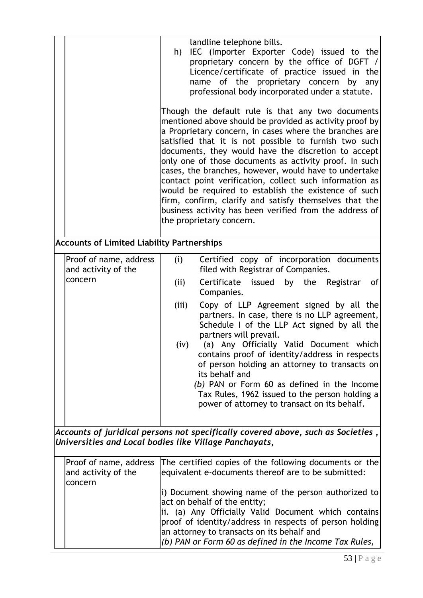|                                                                                                                                            |                                                          | landline telephone bills.<br>IEC (Importer Exporter Code) issued to the<br>h)<br>proprietary concern by the office of DGFT /<br>Licence/certificate of practice issued in the<br>name of the proprietary concern by any<br>professional body incorporated under a statute.<br>Though the default rule is that any two documents<br>mentioned above should be provided as activity proof by<br>a Proprietary concern, in cases where the branches are<br>satisfied that it is not possible to furnish two such<br>documents, they would have the discretion to accept<br>only one of those documents as activity proof. In such<br>cases, the branches, however, would have to undertake<br>contact point verification, collect such information as<br>would be required to establish the existence of such<br>firm, confirm, clarify and satisfy themselves that the<br>business activity has been verified from the address of<br>the proprietary concern. |  |  |
|--------------------------------------------------------------------------------------------------------------------------------------------|----------------------------------------------------------|-------------------------------------------------------------------------------------------------------------------------------------------------------------------------------------------------------------------------------------------------------------------------------------------------------------------------------------------------------------------------------------------------------------------------------------------------------------------------------------------------------------------------------------------------------------------------------------------------------------------------------------------------------------------------------------------------------------------------------------------------------------------------------------------------------------------------------------------------------------------------------------------------------------------------------------------------------------|--|--|
|                                                                                                                                            | <b>Accounts of Limited Liability Partnerships</b>        |                                                                                                                                                                                                                                                                                                                                                                                                                                                                                                                                                                                                                                                                                                                                                                                                                                                                                                                                                             |  |  |
|                                                                                                                                            | Proof of name, address<br>and activity of the<br>concern | Certified copy of incorporation documents<br>(i)<br>filed with Registrar of Companies.<br>(i)<br>issued by the Registrar<br>Certificate<br>of<br>Companies.<br>Copy of LLP Agreement signed by all the<br>(iii)<br>partners. In case, there is no LLP agreement,<br>Schedule I of the LLP Act signed by all the<br>partners will prevail.<br>(a) Any Officially Valid Document which<br>(iv)<br>contains proof of identity/address in respects<br>of person holding an attorney to transacts on<br>its behalf and<br>(b) PAN or Form 60 as defined in the Income<br>Tax Rules, 1962 issued to the person holding a<br>power of attorney to transact on its behalf.                                                                                                                                                                                                                                                                                          |  |  |
| Accounts of juridical persons not specifically covered above, such as Societies,<br>Universities and Local bodies like Village Panchayats, |                                                          |                                                                                                                                                                                                                                                                                                                                                                                                                                                                                                                                                                                                                                                                                                                                                                                                                                                                                                                                                             |  |  |
|                                                                                                                                            | Proof of name, address<br>and activity of the<br>concern | The certified copies of the following documents or the<br>equivalent e-documents thereof are to be submitted:                                                                                                                                                                                                                                                                                                                                                                                                                                                                                                                                                                                                                                                                                                                                                                                                                                               |  |  |
|                                                                                                                                            |                                                          | i) Document showing name of the person authorized to<br>act on behalf of the entity;<br>ii. (a) Any Officially Valid Document which contains<br>proof of identity/address in respects of person holding<br>an attorney to transacts on its behalf and<br>(b) PAN or Form 60 as defined in the Income Tax Rules,                                                                                                                                                                                                                                                                                                                                                                                                                                                                                                                                                                                                                                             |  |  |